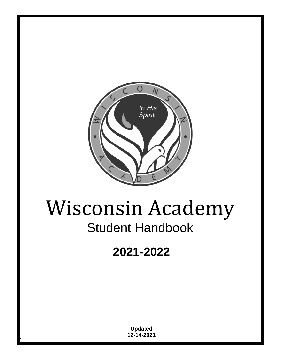

# Wisconsin Academy Student Handbook

## **2021-2022**

**Updated 12-14-2021**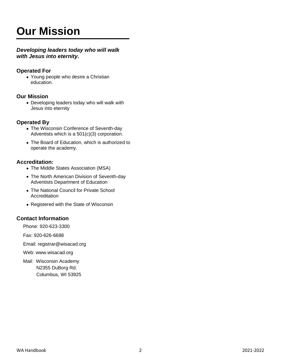## **Our Mission**

## *Developing leaders today who will walk with Jesus into eternity.*

## **Operated For**

• Young people who desire a Christian education.

## **Our Mission**

• Developing leaders today who will walk with Jesus into eternity

## **Operated By**

- The Wisconsin Conference of Seventh-day Adventists which is a 501(c)(3) corporation.
- The Board of Education, which is authorized to operate the academy.

## **Accreditation:**

- The Middle States Association (MSA)
- The North American Division of Seventh-day Adventists Department of Education
- The National Council for Private School **Accreditation**
- Registered with the State of Wisconsin

## **Contact Information**

Phone: 920-623-3300

Fax: 920-626-6688

Email: registrar@wisacad.org

Web: www.wisacad.org

Mail: Wisconsin Academy N2355 DuBorg Rd. Columbus, WI 53925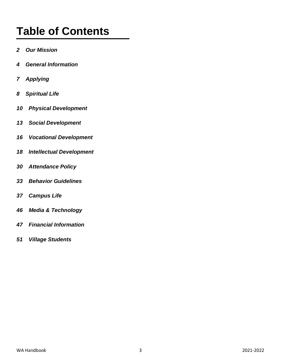## **Table of Contents**

- *2 Our Mission*
- *4 General Information*
- *7 Applying*
- *8 Spiritual Life*
- *10 Physical Development*
- *13 Social Development*
- *16 Vocational Development*
- *18 Intellectual Development*
- *30 Attendance Policy*
- *33 Behavior Guidelines*
- *37 Campus Life*
- *46 Media & Technology*
- *47 Financial Information*
- *51 Village Students*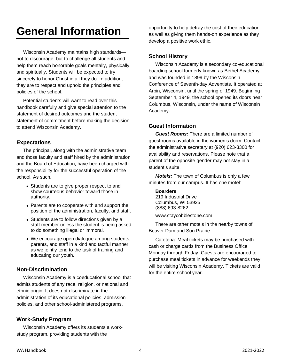## **General Information**

Wisconsin Academy maintains high standards not to discourage, but to challenge all students and help them reach honorable goals mentally, physically, and spiritually. Students will be expected to try sincerely to honor Christ in all they do. In addition, they are to respect and uphold the principles and policies of the school.

Potential students will want to read over this handbook carefully and give special attention to the statement of desired outcomes and the student statement of commitment before making the decision to attend Wisconsin Academy.

## **Expectations**

The principal, along with the administrative team and those faculty and staff hired by the administration and the Board of Education, have been charged with the responsibility for the successful operation of the school. As such,

- Students are to give proper respect to and show courteous behavior toward those in authority.
- Parents are to cooperate with and support the position of the administration, faculty, and staff.
- Students are to follow directions given by a staff member unless the student is being asked to do something illegal or immoral.
- We encourage open dialogue among students, parents, and staff in a kind and tactful manner as we jointly tend to the task of training and educating our youth.

## **Non-Discrimination**

Wisconsin Academy is a coeducational school that admits students of any race, religion, or national and ethnic origin. It does not discriminate in the administration of its educational policies, admission policies, and other school-administered programs.

## **Work-Study Program**

Wisconsin Academy offers its students a workstudy program, providing students with the

opportunity to help defray the cost of their education as well as giving them hands-on experience as they develop a positive work ethic.

## **School History**

Wisconsin Academy is a secondary co-educational boarding school formerly known as Bethel Academy and was founded in 1899 by the Wisconsin Conference of Seventh-day Adventists. It operated at Arpin, Wisconsin, until the spring of 1949. Beginning September 4, 1949, the school opened its doors near Columbus, Wisconsin, under the name of Wisconsin Academy.

## **Guest Information**

*Guest Rooms:* There are a limited number of guest rooms available in the women's dorm. Contact the administrative secretary at (920) 623-3300 for availability and reservations. Please note that a parent of the opposite gender may not stay in a student's suite.

*Motels:* The town of Columbus is only a few minutes from our campus. It has one motel:

**Boarders** 219 Industrial Drive Columbus, WI 53925 (888) 693-8262 www.staycobblestone.com

There are other motels in the nearby towns of Beaver Dam and Sun Prairie

Cafeteria: Meal tickets may be purchased with cash or charge cards from the Business Office Monday through Friday. Guests are encouraged to purchase meal tickets in advance for weekends they will be visiting Wisconsin Academy. Tickets are valid for the entire school year.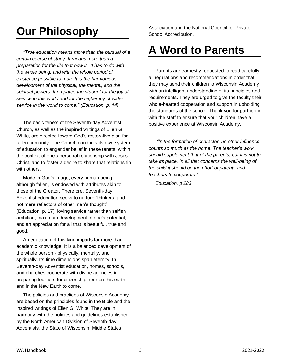## **Our Philosophy**

*"True education means more than the pursual of a certain course of study. It means more than a preparation for the life that now is. It has to do with the whole being, and with the whole period of existence possible to man. It is the harmonious development of the physical, the mental, and the spiritual powers. It prepares the student for the joy of service in this world and for the higher joy of wider service in the world to come." (Education, p. 14)*

The basic tenets of the Seventh-day Adventist Church, as well as the inspired writings of Ellen G. White, are directed toward God's restorative plan for fallen humanity. The Church conducts its own system of education to engender belief in these tenets, within the context of one's personal relationship with Jesus Christ, and to foster a desire to share that relationship with others.

Made in God's image, every human being, although fallen, is endowed with attributes akin to those of the Creator. Therefore, Seventh-day Adventist education seeks to nurture "thinkers, and not mere reflectors of other men's thought" (Education, p. 17); loving service rather than selfish ambition; maximum development of one's potential; and an appreciation for all that is beautiful, true and good.

An education of this kind imparts far more than academic knowledge. It is a balanced development of the whole person - physically, mentally, and spiritually. Its time dimensions span eternity. In Seventh-day Adventist education, homes, schools, and churches cooperate with divine agencies in preparing learners for citizenship here on this earth and in the New Earth to come.

The policies and practices of Wisconsin Academy are based on the principles found in the Bible and the inspired writings of Ellen G. White. They are in harmony with the policies and guidelines established by the North American Division of Seventh-day Adventists, the State of Wisconsin, Middle States

Association and the National Council for Private School Accreditation.

## **A Word to Parents**

Parents are earnestly requested to read carefully all regulations and recommendations in order that they may send their children to Wisconsin Academy with an intelligent understanding of its principles and requirements. They are urged to give the faculty their whole-hearted cooperation and support in upholding the standards of the school. Thank you for partnering with the staff to ensure that your children have a positive experience at Wisconsin Academy.

*"In the formation of character, no other influence counts so much as the home. The teacher's work should supplement that of the parents, but it is not to take its place. In all that concerns the well-being of the child it should be the effort of parents and teachers to cooperate."*

*Education, p 283.*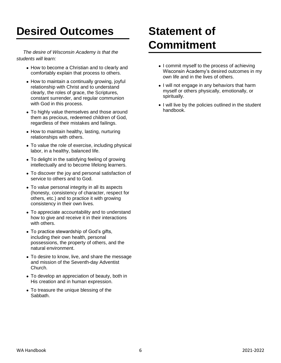## **Desired Outcomes**

*The desire of Wisconsin Academy is that the students will learn:*

- How to become a Christian and to clearly and comfortably explain that process to others.
- How to maintain a continually growing, joyful relationship with Christ and to understand clearly, the roles of grace, the Scriptures, constant surrender, and regular communion with God in this process.
- To highly value themselves and those around them as precious, redeemed children of God, regardless of their mistakes and failings.
- How to maintain healthy, lasting, nurturing relationships with others.
- To value the role of exercise, including physical labor, in a healthy, balanced life.
- To delight in the satisfying feeling of growing intellectually and to become lifelong learners.
- To discover the joy and personal satisfaction of service to others and to God.
- To value personal integrity in all its aspects (honesty, consistency of character, respect for others, etc.) and to practice it with growing consistency in their own lives.
- To appreciate accountability and to understand how to give and receive it in their interactions with others.
- To practice stewardship of God's gifts, including their own health, personal possessions, the property of others, and the natural environment.
- To desire to know, live, and share the message and mission of the Seventh-day Adventist Church.
- To develop an appreciation of beauty, both in His creation and in human expression.
- To treasure the unique blessing of the Sabbath.

## **Statement of Commitment**

- I commit myself to the process of achieving Wisconsin Academy's desired outcomes in my own life and in the lives of others.
- I will not engage in any behaviors that harm myself or others physically, emotionally, or spiritually.
- I will live by the policies outlined in the student handbook.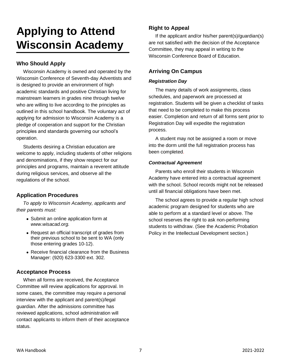## **Applying to Attend Wisconsin Academy**

## **Who Should Apply**

Wisconsin Academy is owned and operated by the Wisconsin Conference of Seventh-day Adventists and is designed to provide an environment of high academic standards and positive Christian living for mainstream learners in grades nine through twelve who are willing to live according to the principles as outlined in this school handbook. The voluntary act of applying for admission to Wisconsin Academy is a pledge of cooperation and support for the Christian principles and standards governing our school's operation.

Students desiring a Christian education are welcome to apply, including students of other religions and denominations, if they show respect for our principles and programs, maintain a reverent attitude during religious services, and observe all the regulations of the school.

## **Application Procedures**

*To apply to Wisconsin Academy, applicants and their parents must:*

- Submit an online application form at *www.wisacad.org.*
- Request an official transcript of grades from their previous school to be sent to WA (only those entering grades 10-12).
- Receive financial clearance from the Business Manager: (920) 623-3300 ext. 302.

## **Acceptance Process**

When all forms are received, the Acceptance Committee will review applications for approval. In some cases, the committee may require a personal interview with the applicant and parent(s)/legal guardian. After the admissions committee has reviewed applications, school administration will contact applicants to inform them of their acceptance status.

## **Right to Appeal**

If the applicant and/or his/her parent(s)/guardian(s) are not satisfied with the decision of the Acceptance Committee, they may appeal in writing to the Wisconsin Conference Board of Education.

## **Arriving On Campus**

#### *Registration Day*

The many details of work assignments, class schedules, and paperwork are processed at registration. Students will be given a checklist of tasks that need to be completed to make this process easier. Completion and return of all forms sent prior to Registration Day will expedite the registration process.

A student may not be assigned a room or move into the dorm until the full registration process has been completed.

## *Contractual Agreement*

Parents who enroll their students in Wisconsin Academy have entered into a contractual agreement with the school. School records might not be released until all financial obligations have been met.

The school agrees to provide a regular high school academic program designed for students who are able to perform at a standard level or above. The school reserves the right to ask non-performing students to withdraw. (See the Academic Probation Policy in the Intellectual Development section.)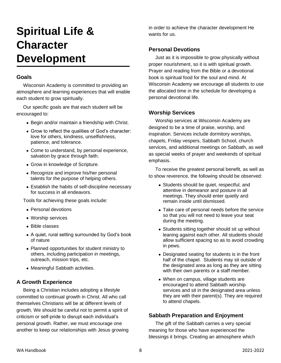## **Spiritual Life & Character Development**

## **Goals**

Wisconsin Academy is committed to providing an atmosphere and learning experiences that will enable each student to grow spiritually.

Our specific goals are that each student will be encouraged to:

- Begin and/or maintain a friendship with Christ.
- Grow to reflect the qualities of God's character: love for others, kindness, unselfishness, patience, and tolerance.
- Come to understand, by personal experience, salvation by grace through faith.
- Grow in knowledge of Scripture.
- Recognize and improve his/her personal talents for the purpose of helping others.
- Establish the habits of self-discipline necessary for success in all endeavors.

Tools for achieving these goals include:

- Personal devotions
- Worship services
- Bible classes
- A quiet, rural setting surrounded by God's book of nature
- Planned opportunities for student ministry to others, including participation in meetings, outreach, mission trips, etc.
- Meaningful Sabbath activities.

## **A Growth Experience**

Being a Christian includes adopting a lifestyle committed to continual growth in Christ. All who call themselves Christians will be at different levels of growth. We should be careful not to permit a spirit of criticism or self-pride to disrupt each individual's personal growth. Rather, we must encourage one another to keep our relationships with Jesus growing in order to achieve the character development He wants for us.

## **Personal Devotions**

Just as it is impossible to grow physically without proper nourishment, so it is with spiritual growth. Prayer and reading from the Bible or a devotional book is spiritual food for the soul and mind. At Wisconsin Academy we encourage all students to use the allocated time in the schedule for developing a personal devotional life.

## **Worship Services**

Worship services at Wisconsin Academy are designed to be a time of praise, worship, and inspiration. Services include dormitory worships, chapels, Friday vespers, Sabbath School, church services, and additional meetings on Sabbath, as well as special weeks of prayer and weekends of spiritual emphasis.

To receive the greatest personal benefit, as well as to show reverence, the following should be observed:

- Students should be quiet, respectful, and attentive in demeanor and posture in all meetings. They should enter quietly and remain inside until dismissed.
- Take care of personal needs before the service so that you will not need to leave your seat during the meeting.
- Students sitting together should sit up without leaning against each other. All students should allow sufficient spacing so as to avoid crowding in pews.
- Designated seating for students is in the front half of the chapel. Students may sit outside of the designated area as long as they are sitting with their own parents or a staff member.
- When on campus, village students are encouraged to attend Sabbath worship services and sit in the designated area unless they are with their parent(s). They are required to attend chapels.

## **Sabbath Preparation and Enjoyment**

The gift of the Sabbath carries a very special meaning for those who have experienced the blessings it brings. Creating an atmosphere which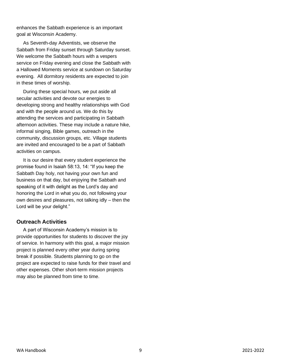enhances the Sabbath experience is an important goal at Wisconsin Academy.

As Seventh-day Adventists, we observe the Sabbath from Friday sunset through Saturday sunset. We welcome the Sabbath hours with a vespers service on Friday evening and close the Sabbath with a Hallowed Moments service at sundown on Saturday evening. All dormitory residents are expected to join in these times of worship.

During these special hours, we put aside all secular activities and devote our energies to developing strong and healthy relationships with God and with the people around us. We do this by attending the services and participating in Sabbath afternoon activities. These may include a nature hike, informal singing, Bible games, outreach in the community, discussion groups, etc. Village students are invited and encouraged to be a part of Sabbath activities on campus.

It is our desire that every student experience the promise found in Isaiah 58:13, 14: "If you keep the Sabbath Day holy, not having your own fun and business on that day, but enjoying the Sabbath and speaking of it with delight as the Lord's day and honoring the Lord in what you do, not following your own desires and pleasures, not talking idly – then the Lord will be your delight."

## **Outreach Activities**

A part of Wisconsin Academy's mission is to provide opportunities for students to discover the joy of service. In harmony with this goal, a major mission project is planned every other year during spring break if possible. Students planning to go on the project are expected to raise funds for their travel and other expenses. Other short-term mission projects may also be planned from time to time.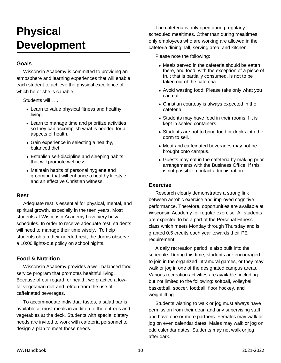## **Physical Development**

## **Goals**

Wisconsin Academy is committed to providing an atmosphere and learning experiences that will enable each student to achieve the physical excellence of which he or she is capable.

Students will . . .

- Learn to value physical fitness and healthy living.
- Learn to manage time and prioritize activities so they can accomplish what is needed for all aspects of health.
- Gain experience in selecting a healthy, balanced diet.
- Establish self-discipline and sleeping habits that will promote wellness.
- Maintain habits of personal hygiene and grooming that will enhance a healthy lifestyle and an effective Christian witness.

#### **Rest**

Adequate rest is essential for physical, mental, and spiritual growth, especially in the teen years. Most students at Wisconsin Academy have very busy schedules. In order to receive adequate rest, students will need to manage their time wisely. To help students obtain their needed rest, the dorms observe a 10:00 lights-out policy on school nights.

## **Food & Nutrition**

Wisconsin Academy provides a well-balanced food service program that promotes healthful living. Because of our regard for health, we practice a lowfat vegetarian diet and refrain from the use of caffeinated beverages.

To accommodate individual tastes, a salad bar is available at most meals in addition to the entrees and vegetables at the deck. Students with special dietary needs are invited to work with cafeteria personnel to design a plan to meet those needs.

The cafeteria is only open during regularly scheduled mealtimes. Other than during mealtimes, only employees who are working are allowed in the cafeteria dining hall, serving area, and kitchen.

Please note the following:

- Meals served in the cafeteria should be eaten there, and food, with the exception of a piece of fruit that is partially consumed, is not to be taken out of the cafeteria.
- Avoid wasting food. Please take only what you can eat.
- Christian courtesy is always expected in the cafeteria.
- Students may have food in their rooms if it is kept in sealed containers.
- Students are not to bring food or drinks into the dorm to sell.
- Meat and caffeinated beverages may not be brought onto campus.
- Guests may eat in the cafeteria by making prior arrangements with the Business Office. If this is not possible, contact administration.

## **Exercise**

Research clearly demonstrates a strong link between aerobic exercise and improved cognitive performance. Therefore, opportunities are available at Wisconsin Academy for regular exercise. All students are expected to be a part of the Personal Fitness class which meets Monday through Thursday and is granted 0.5 credits each year towards their PE requirement.

A daily recreation period is also built into the schedule. During this time, students are encouraged to join in the organized intramural games, or they may walk or jog in one of the designated campus areas. Various recreation activities are available, including but not limited to the following: softball, volleyball, basketball, soccer, football, floor hockey, and weightlifting.

Students wishing to walk or jog must always have permission from their dean and any supervising staff and have one or more partners. Females may walk or jog on even calendar dates. Males may walk or jog on odd calendar dates. Students may not walk or jog after dark.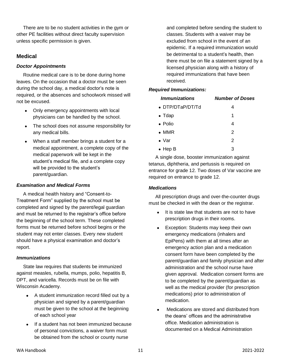There are to be no student activities in the gym or other PE facilities without direct faculty supervision unless specific permission is given.

## **Medical**

#### *Doctor Appointments*

Routine medical care is to be done during home leaves. On the occasion that a doctor must be seen during the school day, a medical doctor's note is required, or the absences and schoolwork missed will not be excused.

- Only emergency appointments with local physicians can be handled by the school.
- The school does not assume responsibility for any medical bills.
- When a staff member brings a student for a medical appointment, a complete copy of the medical paperwork will be kept in the student's medical file, and a complete copy will be provided to the student's parent/guardian.

#### *Examination and Medical Forms*

A medical health history and "Consent-to-Treatment Form" supplied by the school must be completed and signed by the parent/legal guardian and must be returned to the registrar's office before the beginning of the school term. These completed forms must be returned before school begins or the student may not enter classes. Every new student should have a physical examination and doctor's report.

#### *Immunizations*

State law requires that students be immunized against measles, rubella, mumps, polio, hepatitis B, DPT, and varicella. Records must be on file with Wisconsin Academy.

- A student immunization record filled out by a physician and signed by a parent/guardian must be given to the school at the beginning of each school year
- If a student has not been immunized because of personal convictions, a waiver form must be obtained from the school or county nurse

and completed before sending the student to classes. Students with a waiver may be excluded from school in the event of an epidemic. If a required immunization would be detrimental to a student's health, then there must be on file a statement signed by a licensed physician along with a history of required immunizations that have been received.

#### *Required Immunizations:*

| <i><b>Immunizations</b></i> | <b>Number of Doses</b> |
|-----------------------------|------------------------|
| • DTP/DTaP/DT/Td            | 4                      |
| $\bullet$ Tdap              | 1                      |
| $\bullet$ Polio             | 4                      |
| $\bullet$ MMR               | $\mathcal{P}$          |
| $\bullet$ Var               | 2                      |
| $\bullet$ Hep B             | 3                      |

A single dose, booster immunization against tetanus, diphtheria, and pertussis is required on entrance for grade 12. Two doses of Var vaccine are required on entrance to grade 12.

## *Medications*

All prescription drugs and over-the-counter drugs must be checked in with the dean or the registrar.

- It is state law that students are not to have prescription drugs in their rooms.
- Exception: Students may keep their own emergency medications (inhalers and EpiPens) with them at all times after an emergency action plan and a medication consent form have been completed by the parent/guardian and family physician and after administration and the school nurse have given approval. Medication consent forms are to be completed by the parent/guardian as well as the medical provider (for prescription medications) prior to administration of medication.
- Medications are stored and distributed from the deans' offices and the administrative office. Medication administration is documented on a Medical Administration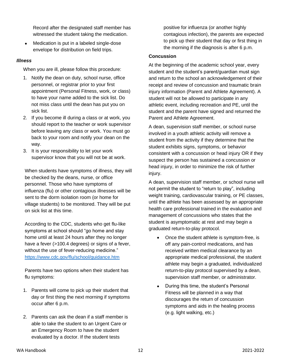Record after the designated staff member has witnessed the student taking the medication.

• Medication is put in a labeled single-dose envelope for distribution on field trips.

#### *Illness*

When you are ill, please follow this procedure:

- 1. Notify the dean on duty, school nurse, office personnel, or registrar prior to your first appointment (Personal Fitness, work, or class) to have your name added to the sick list. Do not miss class until the dean has put you on sick list.
- 2. If you become ill during a class or at work, you should report to the teacher or work supervisor before leaving any class or work. You must go back to your room and notify your dean on the way.
- 3. It is your responsibility to let your work supervisor know that you will not be at work.

When students have symptoms of illness, they will be checked by the deans, nurse, or office personnel. Those who have symptoms of influenza (flu) or other contagious illnesses will be sent to the dorm isolation room (or home for village students) to be monitored. They will be put on sick list at this time.

According to the CDC, students who get flu-like symptoms at school should "go home and stay home until at least 24 hours after they no longer have a fever (>100.4 degrees) or signs of a fever, without the use of fever-reducing medicine." <https://www.cdc.gov/flu/school/guidance.htm>

Parents have two options when their student has flu symptoms:

- 1. Parents will come to pick up their student that day or first thing the next morning if symptoms occur after 6 p.m.
- 2. Parents can ask the dean if a staff member is able to take the student to an Urgent Care or an Emergency Room to have the student evaluated by a doctor. If the student tests

positive for influenza (or another highly contagious infection), the parents are expected to pick up their student that day or first thing in the morning if the diagnosis is after 6 p.m.

#### **Concussion**

At the beginning of the academic school year, every student and the student's parent/guardian must sign and return to the school an acknowledgement of their receipt and review of concussion and traumatic brain injury information (Parent and Athlete Agreement). A student will not be allowed to participate in any athletic event, including recreation and PE, until the student and the parent have signed and returned the Parent and Athlete Agreement.

A dean, supervision staff member, or school nurse involved in a youth athletic activity will remove a student from the activity if they determine that the student exhibits signs, symptoms, or behavior consistent with a concussion or head injury OR if they suspect the person has sustained a concussion or head injury, in order to minimize the risk of further injury.

A dean, supervision staff member, or school nurse will not permit the student to "return to play", including weight training, cardiovascular training, or PE classes, until the athlete has been assessed by an appropriate health care professional trained in the evaluation and management of concussions who states that the student is asymptomatic at rest and may begin a graduated return-to-play protocol.

- Once the student athlete is symptom-free, is off any pain-control medications, and has received written medical clearance by an appropriate medical professional, the student athlete may begin a graduated, individualized return-to-play protocol supervised by a dean, supervision staff member, or administrator.
- During this time, the student's Personal Fitness will be planned in a way that discourages the return of concussion symptoms and aids in the healing process (e.g. light walking, etc.)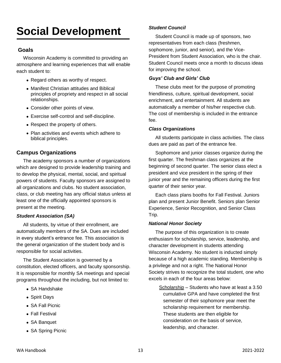## **Social Development**

## **Goals**

Wisconsin Academy is committed to providing an atmosphere and learning experiences that will enable each student to:

- Regard others as worthy of respect.
- Manifest Christian attitudes and Biblical principles of propriety and respect in all social relationships.
- Consider other points of view.
- Exercise self-control and self-discipline.
- Respect the property of others.
- Plan activities and events which adhere to biblical principles.

## **Campus Organizations**

The academy sponsors a number of organizations which are designed to provide leadership training and to develop the physical, mental, social, and spiritual powers of students. Faculty sponsors are assigned to all organizations and clubs. No student association, class, or club meeting has any official status unless at least one of the officially appointed sponsors is present at the meeting.

#### *Student Association (SA)*

All students, by virtue of their enrollment, are automatically members of the SA. Dues are included in every student's entrance fee. This association is the general organization of the student body and is responsible for social activities.

The Student Association is governed by a constitution, elected officers, and faculty sponsorship. It is responsible for monthly SA meetings and special programs throughout the including, but not limited to:

- SA Handshake
- Spirit Days
- SA Fall Picnic
- Fall Festival
- SA Banquet
- SA Spring Picnic

#### *Student Council*

Student Council is made up of sponsors, two representatives from each class (freshmen, sophomore, junior, and senior), and the Vice-President from Student Association, who is the chair. Student Council meets once a month to discuss ideas for improving the school.

#### *Guys' Club and Girls' Club*

These clubs meet for the purpose of promoting friendliness, culture, spiritual development, social enrichment, and entertainment. All students are automatically a member of his/her respective club. The cost of membership is included in the entrance fee.

#### *Class Organizations*

All students participate in class activities. The class dues are paid as part of the entrance fee.

Sophomore and junior classes organize during the first quarter. The freshman class organizes at the beginning of second quarter. The senior class elect a president and vice president in the spring of their junior year and the remaining officers during the first quarter of their senior year.

Each class plans booths for Fall Festival. Juniors plan and present Junior Benefit. Seniors plan Senior Experience, Senior Recognition, and Senior Class Trip.

#### *National Honor Society*

The purpose of this organization is to create enthusiasm for scholarship, service, leadership, and character development in students attending Wisconsin Academy. No student is inducted simply because of a high academic standing. Membership is a privilege and not a right. The National Honor Society strives to recognize the total student, one who excels in each of the four areas below:

Scholarship – Students who have at least a 3.50 cumulative GPA and have completed the first semester of their sophomore year meet the scholarship requirement for membership. These students are then eligible for consideration on the basis of service, leadership, and character.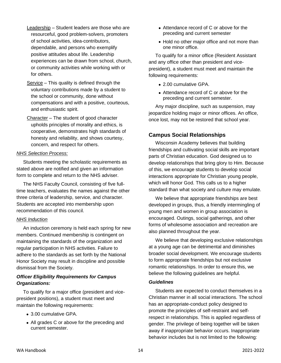- Leadership Student leaders are those who are resourceful, good problem-solvers, promoters of school activities, idea-contributors, dependable, and persons who exemplify positive attitudes about life. Leadership experiences can be drawn from school, church, or community activities while working with or for others.
- $S$ ervice This quality is defined through the voluntary contributions made by a student to the school or community, done without compensations and with a positive, courteous, and enthusiastic spirit.
- Character The student of good character upholds principles of morality and ethics, is cooperative, demonstrates high standards of honesty and reliability, and shows courtesy, concern, and respect for others.

#### *NHS Selection Process:*

Students meeting the scholastic requirements as stated above are notified and given an information form to complete and return to the NHS adviser.

The NHS Faculty Council, consisting of five fulltime teachers, evaluates the names against the other three criteria of leadership, service, and character. Students are accepted into membership upon recommendation of this council.

#### *NHS Induction*

An induction ceremony is held each spring for new members. Continued membership is contingent on maintaining the standards of the organization and regular participation in NHS activities. Failure to adhere to the standards as set forth by the National Honor Society may result in discipline and possible dismissal from the Society.

#### *Officer Eligibility Requirements for Campus Organizations:*

To qualify for a major office (president and vicepresident positions), a student must meet and maintain the following requirements:

- 3.00 cumulative GPA.
- All grades C or above for the preceding and current semester.
- Attendance record of C or above for the preceding and current semester
- Hold no other major office and not more than one minor office.

To qualify for a minor office (Resident Assistant and any office other than president and vicepresident), a student must meet and maintain the following requirements:

- 2.00 cumulative GPA.
- Attendance record of C or above for the preceding and current semester.

Any major discipline, such as suspension, may jeopardize holding major or minor offices. An office, once lost, may not be restored that school year.

#### **Campus Social Relationships**

Wisconsin Academy believes that building friendships and cultivating social skills are important parts of Christian education. God designed us to develop relationships that bring glory to Him. Because of this, we encourage students to develop social interactions appropriate for Christian young people, which will honor God. This calls us to a higher standard than what society and culture may emulate.

We believe that appropriate friendships are best developed in groups, thus, a friendly intermingling of young men and women in group association is encouraged. Outings, social gatherings, and other forms of wholesome association and recreation are also planned throughout the year.

We believe that developing exclusive relationships at a young age can be detrimental and diminishes broader social development. We encourage students to form appropriate friendships but not exclusive romantic relationships. In order to ensure this, we believe the following guidelines are helpful.

#### *Guidelines*

Students are expected to conduct themselves in a Christian manner in all social interactions. The school has an appropriate-conduct policy designed to promote the principles of self-restraint and selfrespect in relationships. This is applied regardless of gender. The privilege of being together will be taken away if inappropriate behavior occurs. Inappropriate behavior includes but is not limited to the following: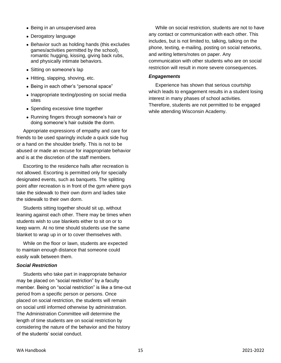- Being in an unsupervised area
- Derogatory language
- Behavior such as holding hands (this excludes games/activities permitted by the school), romantic hugging, kissing, giving back rubs, and physically intimate behaviors.
- Sitting on someone's lap
- Hitting, slapping, shoving, etc.
- Being in each other's "personal space"
- Inappropriate texting/posting on social media sites
- Spending excessive time together
- Running fingers through someone's hair or doing someone's hair outside the dorm.

Appropriate expressions of empathy and care for friends to be used sparingly include a quick side hug or a hand on the shoulder briefly. This is not to be abused or made an excuse for inappropriate behavior and is at the discretion of the staff members.

Escorting to the residence halls after recreation is not allowed. Escorting is permitted only for specially designated events, such as banquets. The splitting point after recreation is in front of the gym where guys take the sidewalk to their own dorm and ladies take the sidewalk to their own dorm.

Students sitting together should sit up, without leaning against each other. There may be times when students wish to use blankets either to sit on or to keep warm. At no time should students use the same blanket to wrap up in or to cover themselves with.

While on the floor or lawn, students are expected to maintain enough distance that someone could easily walk between them.

#### *Social Restriction*

Students who take part in inappropriate behavior may be placed on "social restriction" by a faculty member. Being on "social restriction" is like a time-out period from a specific person or persons. Once placed on social restriction, the students will remain on social until informed otherwise by administration. The Administration Committee will determine the length of time students are on social restriction by considering the nature of the behavior and the history of the students' social conduct.

While on social restriction, students are not to have any contact or communication with each other. This includes, but is not limited to, talking, talking on the phone, texting, e-mailing, posting on social networks, and writing letters/notes on paper. Any communication with other students who are on social restriction will result in more severe consequences.

#### *Engagements*

Experience has shown that serious courtship which leads to engagement results in a student losing interest in many phases of school activities. Therefore, students are not permitted to be engaged while attending Wisconsin Academy.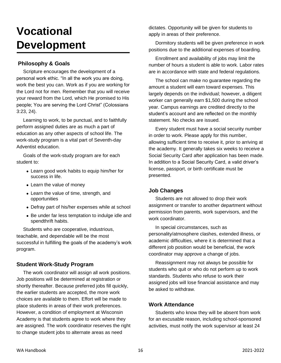## **Vocational Development**

## **Philosophy & Goals**

Scripture encourages the development of a personal work ethic. "In all the work you are doing, work the best you can. Work as if you are working for the Lord not for men. Remember that you will receive your reward from the Lord, which He promised to His people; You are serving the Lord Christ" (Colossians 3:23, 24).

Learning to work, to be punctual, and to faithfully perform assigned duties are as much a part of education as any other aspects of school life. The work-study program is a vital part of Seventh-day Adventist education.

Goals of the work-study program are for each student to:

- Learn good work habits to equip him/her for success in life.
- Learn the value of money
- Learn the value of time, strength, and opportunities
- Defray part of his/her expenses while at school
- Be under far less temptation to indulge idle and spendthrift habits.

Students who are cooperative, industrious, teachable, and dependable will be the most successful in fulfilling the goals of the academy's work program.

## **Student Work-Study Program**

The work coordinator will assign all work positions. Job positions will be determined at registration or shortly thereafter. Because preferred jobs fill quickly, the earlier students are accepted, the more work choices are available to them. Effort will be made to place students in areas of their work preferences. However, a condition of employment at Wisconsin Academy is that students agree to work where they are assigned. The work coordinator reserves the right to change student jobs to alternate areas as need

dictates. Opportunity will be given for students to apply in areas of their preference.

Dormitory students will be given preference in work positions due to the additional expenses of boarding.

Enrollment and availability of jobs may limit the number of hours a student is able to work. Labor rates are in accordance with state and federal regulations.

The school can make no guarantee regarding the amount a student will earn toward expenses. This largely depends on the individual; however, a diligent worker can generally earn \$1,500 during the school year. Campus earnings are credited directly to the student's account and are reflected on the monthly statement. No checks are issued.

Every student must have a social security number in order to work. Please apply for this number, allowing sufficient time to receive it, prior to arriving at the academy. It generally takes six weeks to receive a Social Security Card after application has been made. In addition to a Social Security Card, a valid driver's license, passport, or birth certificate must be presented.

## **Job Changes**

Students are not allowed to drop their work assignment or transfer to another department without permission from parents, work supervisors, and the work coordinator.

In special circumstances, such as personality/atmosphere clashes, extended illness, or academic difficulties, where it is determined that a different job position would be beneficial, the work coordinator may approve a change of jobs.

Reassignment may not always be possible for students who quit or who do not perform up to work standards. Students who refuse to work their assigned jobs will lose financial assistance and may be asked to withdraw.

## **Work Attendance**

Students who know they will be absent from work for an excusable reason, including school-sponsored activities, must notify the work supervisor at least 24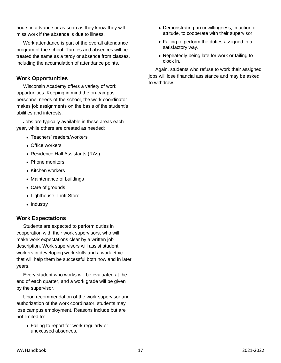hours in advance or as soon as they know they will miss work if the absence is due to illness.

Work attendance is part of the overall attendance program of the school. Tardies and absences will be treated the same as a tardy or absence from classes, including the accumulation of attendance points.

## **Work Opportunities**

Wisconsin Academy offers a variety of work opportunities. Keeping in mind the on-campus personnel needs of the school, the work coordinator makes job assignments on the basis of the student's abilities and interests.

Jobs are typically available in these areas each year, while others are created as needed:

- Teachers' readers/workers
- Office workers
- Residence Hall Assistants (RAs)
- Phone monitors
- Kitchen workers
- Maintenance of buildings
- Care of grounds
- Lighthouse Thrift Store
- Industry

## **Work Expectations**

Students are expected to perform duties in cooperation with their work supervisors, who will make work expectations clear by a written job description. Work supervisors will assist student workers in developing work skills and a work ethic that will help them be successful both now and in later years.

Every student who works will be evaluated at the end of each quarter, and a work grade will be given by the supervisor.

Upon recommendation of the work supervisor and authorization of the work coordinator, students may lose campus employment. Reasons include but are not limited to:

• Failing to report for work regularly or unexcused absences.

- Demonstrating an unwillingness, in action or attitude, to cooperate with their supervisor.
- Failing to perform the duties assigned in a satisfactory way.
- Repeatedly being late for work or failing to clock in.

Again, students who refuse to work their assigned jobs will lose financial assistance and may be asked to withdraw.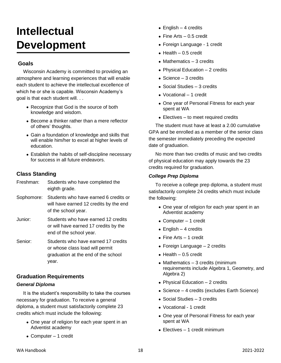## **Intellectual Development**

## **Goals**

Wisconsin Academy is committed to providing an atmosphere and learning experiences that will enable each student to achieve the intellectual excellence of which he or she is capable. Wisconsin Academy's goal is that each student will. . .

- Recognize that God is the source of both knowledge and wisdom.
- Become a thinker rather than a mere reflector of others' thoughts.
- Gain a foundation of knowledge and skills that will enable him/her to excel at higher levels of education.
- Establish the habits of self-discipline necessary for success in all future endeavors.

## **Class Standing**

| Freshman:  | Students who have completed the<br>eighth grade.                                                                       |
|------------|------------------------------------------------------------------------------------------------------------------------|
| Sophomore: | Students who have earned 6 credits or<br>will have earned 12 credits by the end<br>of the school year.                 |
| Junior:    | Students who have earned 12 credits<br>or will have earned 17 credits by the<br>end of the school year.                |
| Senior:    | Students who have earned 17 credits<br>or whose class load will permit<br>graduation at the end of the school<br>vear. |

## **Graduation Requirements**

## *General Diploma*

It is the student's responsibility to take the courses necessary for graduation. To receive a general diploma, a student must satisfactorily complete 23 credits which must include the following:

- One year of religion for each year spent in an Adventist academy
- Computer 1 credit
- English  $-4$  credits
- Fine Arts 0.5 credit
- Foreign Language 1 credit
- $\bullet$  Health  $-0.5$  credit
- Mathematics 3 credits
- Physical Education 2 credits
- Science 3 credits
- Social Studies 3 credits
- Vocational 1 credit
- One year of Personal Fitness for each year spent at WA
- Electives to meet required credits

The student must have at least a 2.00 cumulative GPA and be enrolled as a member of the senior class the semester immediately preceding the expected date of graduation.

No more than two credits of music and two credits of physical education may apply towards the 23 credits required for graduation.

## *College Prep Diploma*

To receive a college prep diploma, a student must satisfactorily complete 24 credits which must include the following:

- One year of religion for each year spent in an Adventist academy
- Computer 1 credit
- English  $-4$  credits
- Fine Arts 1 credit
- Foreign Language 2 credits
- $\bullet$  Health 0.5 credit
- Mathematics 3 credits (minimum requirements include Algebra 1, Geometry, and Algebra 2)
- Physical Education 2 credits
- Science 4 credits (excludes Earth Science)
- Social Studies 3 credits
- Vocational 1 credit
- One year of Personal Fitness for each year spent at WA
- Electives 1 credit minimum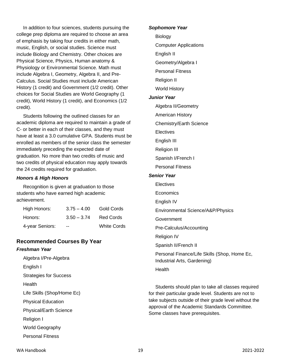In addition to four sciences, students pursuing the college prep diploma are required to choose an area of emphasis by taking four credits in either math, music, English, or social studies. Science must include Biology and Chemistry. Other choices are Physical Science, Physics, Human anatomy & Physiology or Environmental Science. Math must include Algebra I, Geometry, Algebra II, and Pre-Calculus. Social Studies must include American History (1 credit) and Government (1/2 credit). Other choices for Social Studies are World Geography (1 credit), World History (1 credit), and Economics (1/2 credit).

Students following the outlined classes for an academic diploma are required to maintain a grade of C- or better in each of their classes, and they must have at least a 3.0 cumulative GPA. Students must be enrolled as members of the senior class the semester immediately preceding the expected date of graduation. No more than two credits of music and two credits of physical education may apply towards the 24 credits required for graduation.

#### *Honors & High Honors*

Recognition is given at graduation to those students who have earned high academic achievement.

| High Honors:    | $3.75 - 4.00$ | Gold Cords         |
|-----------------|---------------|--------------------|
| Honors:         | $3.50 - 3.74$ | Red Cords          |
| 4-year Seniors: | --            | <b>White Cords</b> |

## **Recommended Courses By Year**

#### *Freshman Year*

Algebra I/Pre-Algebra English I Strategies for Success Health Life Skills (Shop/Home Ec) Physical Education Physical/Earth Science Religion I World Geography Personal Fitness

#### *Sophomore Year*

Biology

Computer Applications

English II

- Geometry/Algebra I
- Personal Fitness
- Religion II
- World History

#### *Junior Year*

- Algebra II/Geometry
- American History
- Chemistry/Earth Science
- **Electives**
- English III
- Religion III
- Spanish I/French I
- Personal Fitness

#### *Senior Year*

Electives

Economics

English IV

Environmental Science/A&P/Physics

**Government** 

Pre-Calculus/Accounting

Religion IV

Spanish II/French II

Personal Finance/Life Skills (Shop, Home Ec, Industrial Arts, Gardening)

Health

Students should plan to take all classes required for their particular grade level. Students are not to take subjects outside of their grade level without the approval of the Academic Standards Committee. Some classes have prerequisites.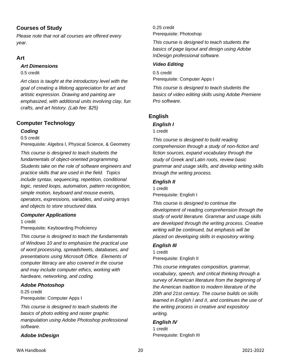## **Courses of Study**

*Please note that not all courses are offered every year.*

## **Art**

## *Art Dimensions*

0.5 credit

*Art class is taught at the introductory level with the goal of creating a lifelong appreciation for art and artistic expression. Drawing and painting are emphasized, with additional units involving clay, fun crafts, and art history. (Lab fee: \$25)*

## **Computer Technology**

## *Coding*

0.5 credit

Prerequisite: Algebra I, Physical Science, & Geometry

*This course is designed to teach students the fundamentals of object-oriented programming. Students take on the role of software engineers and practice skills that are used in the field. Topics include syntax, sequencing, repetition, conditional logic, nested loops, automation, pattern recognition, simple motion, keyboard and mouse events, operators, expressions, variables, and using arrays and objects to store structured data.*

## *Computer Applications*

1 credit

Prerequisite: Keyboarding Proficiency

*This course is designed to teach the fundamentals of Windows 10 and to emphasize the practical use of word processing, spreadsheets, databases, and presentations using Microsoft Office. Elements of computer literacy are also covered in the course and may include computer ethics, working with hardware, networking, and coding.*

## *Adobe Photoshop*

0.25 credit Prerequisite: Computer Apps I

*This course is designed to teach students the basics of photo editing and raster graphic manipulation using Adobe Photoshop professional software.*

## *Adobe InDesign*

0.25 credit Prerequisite: Photoshop

*This course is designed to teach students the basics of page layout and design using Adobe InDesign professional software.*

## *Video Editing*

0.5 credit Prerequisite: Computer Apps I

*This course is designed to teach students the basics of video editing skills using Adobe Premiere Pro software.*

## **English**

## *English I*

1 credit

*This course is designed to build reading comprehension through a study of non-fiction and fiction sources, expand vocabulary through the study of Greek and Latin roots, review basic grammar and usage skills, and develop writing skills through the writing process.*

## *English II*

1 credit Prerequisite: English I

*This course is designed to continue the development of reading comprehension through the study of world literature. Grammar and usage skills are developed through the writing process. Creative writing will be continued, but emphasis will be placed on developing skills in expository writing.*

## *English III*

1 credit Prerequisite: English II

*This course integrates composition, grammar, vocabulary, speech, and critical thinking through a survey of American literature from the beginning of the American tradition to modern literature of the 20th and 21st century. The course builds on skills learned in English I and II, and continues the use of the writing process in creative and expository writing.*

## *English IV*

1 credit Prerequisite: English III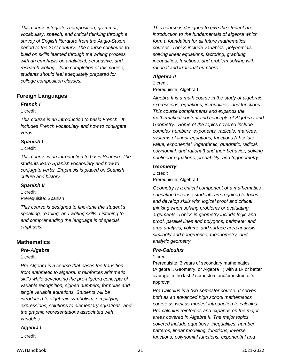*This course integrates composition, grammar, vocabulary, speech, and critical thinking through a survey of English literature from the Anglo-Saxon period to the 21st century. The course continues to build on skills learned through the writing process with an emphasis on analytical, persuasive, and research writing. Upon completion of this course, students should feel adequately prepared for college composition classes.*

## **Foreign Languages**

#### *French I*

#### 1 credit

*This course is an introduction to basic French. It includes French vocabulary and how to conjugate verbs.* 

#### *Spanish I*

1 credit

*This course is an introduction to basic Spanish. The students learn Spanish vocabulary and how to conjugate verbs. Emphasis is placed on Spanish culture and history.*

#### *Spanish II*

1 credit Prerequisite: Spanish I

*This course is designed to fine-tune the student's speaking, reading, and writing skills. Listening to and comprehending the language is of special emphasis.*

## **Mathematics**

#### *Pre-Algebra*

1 credit

*Pre-Algebra is a course that eases the transition from arithmetic to algebra. It reinforces arithmetic skills while developing the pre-algebra concepts of variable recognition, signed numbers, formulas and single variable equations. Students will be introduced to algebraic symbolism, simplifying expressions, solutions to elementary equations, and the graphic representations associated with variables.*

#### *Algebra I*

1 credit

*This course is designed to give the student an introduction to the fundamentals of algebra which form a foundation for all future mathematics courses. Topics include variables, polynomials, solving linear equations, factoring, graphing, inequalities, functions, and problem solving with rational and irrational numbers.*

#### *Algebra II*

1 credit Prerequisite: Algebra I

*Algebra II is a math course in the study of algebraic expressions, equations, inequalities, and functions. This course complements and expands the mathematical content and concepts of Algebra I and Geometry. Some of the topics covered include complex numbers, exponents, radicals, matrices, systems of linear equations, functions (absolute value, exponential, logarithmic, quadratic, radical, polynomial, and rational) and their behavior, solving nonlinear equations, probability, and trigonometry.*

#### *Geometry*

1 credit Prerequisite: Algebra I

*Geometry is a critical component of a mathematics education because students are required to focus and develop skills with logical proof and critical thinking when solving problems or evaluating arguments. Topics in geometry include logic and proof, parallel lines and polygons, perimeter and area analysis, volume and surface area analysis, similarity and congruence, trigonometry, and analytic geometry.*

#### *Pre-Calculus*

1 credit

Prerequisite: 3 years of secondary mathematics (Algebra I, Geometry, or Algebra II) with a B- or better average in the last 2 semesters and/or instructor's approval.

*Pre-Calculus is a two-semester course. It serves both as an advanced high school mathematics course as well as modest introduction to calculus. Pre-calculus reinforces and expands on the major areas covered in Algebra II. The major topics covered include equations, inequalities, number patterns, linear modeling, functions, inverse functions, polynomial functions, exponential and*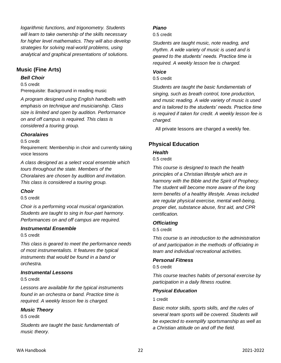*logarithmic functions, and trigonometry. Students will learn to take ownership of the skills necessary for higher level mathematics. They will also develop strategies for solving real-world problems, using analytical and graphical presentations of solutions.*

## **Music (Fine Arts)**

#### *Bell Choir*

0.5 credit Prerequisite: Background in reading music

*A program designed using English handbells with emphasis on technique and musicianship. Class size is limited and open by audition. Performance on and off campus is required. This class is considered a touring group.*

## *Choralaires*

0.5 credit

Requirement: Membership in choir and currently taking voice lessons

*A class designed as a select vocal ensemble which tours throughout the state. Members of the Choralaires are chosen by audition and invitation. This class is considered a touring group.*

#### *Choir*

0.5 credit

*Choir is a performing vocal musical organization. Students are taught to sing in four-part harmony. Performances on and off campus are required.*

## *Instrumental Ensemble*

0.5 credit

*This class is geared to meet the performance needs of most instrumentalists. It features the typical instruments that would be found in a band or orchestra.*

## *Instrumental Lessons*

0.5 credit

*Lessons are available for the typical instruments found in an orchestra or band. Practice time is required. A weekly lesson fee is charged.*

## *Music Theory*

0.5 credit

*Students are taught the basic fundamentals of music theory.*

## *Piano*

0.5 credit

*Students are taught music, note reading, and rhythm. A wide variety of music is used and is geared to the students' needs. Practice time is required. A weekly lesson fee is charged.*

#### *Voice*

0.5 credit

*Students are taught the basic fundamentals of singing, such as breath control, tone production, and music reading. A wide variety of music is used and is tailored to the students' needs. Practice time is required if taken for credit. A weekly lesson fee is charged.*

All private lessons are charged a weekly fee.

## **Physical Education**

## *Health*

0.5 credit

*This course is designed to teach the health principles of a Christian lifestyle which are in harmony with the Bible and the Spirit of Prophecy. The student will become more aware of the long term benefits of a healthy lifestyle. Areas included are regular physical exercise, mental well-being, proper diet, substance abuse, first aid, and CPR certification.*

## *Officiating*

0.5 credit

*This course is an introduction to the administration of and participation in the methods of officiating in team and individual recreational activities.*

## *Personal Fitness*

0.5 credit

*This course teaches habits of personal exercise by participation in a daily fitness routine.* 

## *Physical Education*

1 credit

*Basic motor skills, sports skills, and the rules of several team sports will be covered. Students will be expected to exemplify sportsmanship as well as a Christian attitude on and off the field.*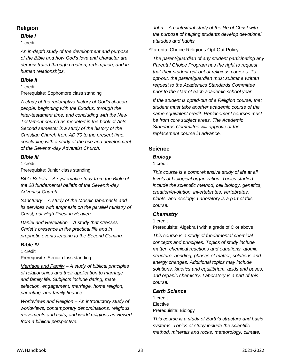## **Religion**

#### *Bible I*

#### 1 credit

*An in-depth study of the development and purpose of the Bible and how God's love and character are demonstrated through creation, redemption, and in human relationships.* 

#### *Bible II*

1 credit

Prerequisite: Sophomore class standing

*A study of the redemptive history of God's chosen people, beginning with the Exodus, through the inter-testament time, and concluding with the New Testament church as modeled in the book of Acts. Second semester is a study of the history of the Christian Church from AD 70 to the present time, concluding with a study of the rise and development of the Seventh-day Adventist Church.*

## *Bible III*

1 credit Prerequisite: Junior class standing

*Bible Beliefs – A systematic study from the Bible of the 28 fundamental beliefs of the Seventh-day Adventist Church.*

*Sanctuary – A study of the Mosaic tabernacle and its services with emphasis on the parallel ministry of Christ, our High Priest in Heaven.* 

*Daniel and Revelation – A study that stresses Christ's presence in the practical life and in prophetic events leading to the Second Coming.*

## *Bible IV*

1 credit Prerequisite: Senior class standing

*Marriage and Family – A study of biblical principles of relationships and their application to marriage and family life. Subjects include dating, mate selection, engagement, marriage, home religion, parenting, and family finance.*

*Worldviews and Religion – An introductory study of worldviews, contemporary denominations, religious movements and cults, and world religions as viewed from a biblical perspective.*

*John – A contextual study of the life of Christ with the purpose of helping students develop devotional attitudes and habits.*

*\**Parental Choice Religious Opt-Out Policy

*The parent/guardian of any student participating any Parental Choice Program has the right to request that their student opt-out of religious courses. To opt-out, the parent/guardian must submit a written request to the Academics Standards Committee prior to the start of each academic school year.* 

*If the student is opted-out of a Religion course, that student must take another academic course of the same equivalent credit. Replacement courses must be from core subject areas. The Academic Standards Committee will approve of the replacement course in advance.*

## **Science**

## *Biology*

1 credit

*This course is a comprehensive study of life at all levels of biological organization. Topics studied include the scientific method, cell biology, genetics, creation/evolution, invertebrates, vertebrates, plants, and ecology. Laboratory is a part of this course.* 

## *Chemistry*

1 credit

Prerequisite: Algebra I with a grade of C or above

*This course is a study of fundamental chemical concepts and principles. Topics of study include matter, chemical reactions and equations, atomic structure, bonding, phases of matter, solutions and energy changes. Additional topics may include solutions, kinetics and equilibrium, acids and bases, and organic chemistry. Laboratory is a part of this course.*

#### *Earth Science*

1 credit **Elective** Prerequisite: Biology

*This course is a study of Earth's structure and basic systems. Topics of study include the scientific method, minerals and rocks, meteorology, climate,*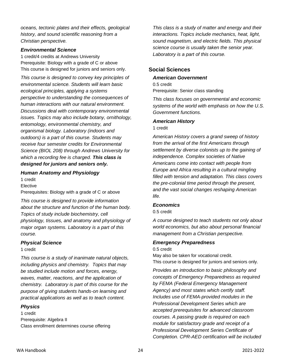*oceans, tectonic plates and their effects, geological history, and sound scientific reasoning from a Christian perspective.*

#### *Environmental Science*

1 credit/4 credits at Andrews University Prerequisite: Biology with a grade of C or above This course is designed for juniors and seniors only.

*This course is designed to convey key principles of environmental science. Students will learn basic ecological principles, applying a systems perspective to understanding the consequences of human interactions with our natural environment. Discussions deal with contemporary environmental issues. Topics may also include botany, ornithology, entomology, environmental chemistry, and organismal biology. Laboratory (indoors and outdoors) is a part of this course. Students may receive four semester credits for Environmental Science (BIOL 208) through Andrews University for which a recording fee is charged. This class is designed for juniors and seniors only.*

#### *Human Anatomy and Physiology*

1 credit

**Elective** 

Prerequisites: Biology with a grade of C or above

*This course is designed to provide information about the structure and function of the human body. Topics of study include biochemistry, cell physiology, tissues, and anatomy and physiology of major organ systems. Laboratory is a part of this course.*

#### *Physical Science*

1 credit

*This course is a study of inanimate natural objects, including physics and chemistry. Topics that may be studied include motion and forces, energy, waves, matter, reactions, and the application of chemistry. Laboratory is part of this course for the purpose of giving students hands-on learning and practical applications as well as to teach content.*

#### *Physics*

1 credit Prerequisite: Algebra II Class enrollment determines course offering

*This class is a study of matter and energy and their interactions. Topics include mechanics, heat, light, sound magnetism, and electric fields. This physical science course is usually taken the senior year. Laboratory is a part of this course.*

#### **Social Sciences**

#### *American Government*

0.5 credit Prerequisite: Senior class standing

*This class focuses on governmental and economic systems of the world with emphasis on how the U.S. Government functions.*

#### *American History*

1 credit

*American History covers a grand sweep of history from the arrival of the first Americans through settlement by diverse colonists up to the gaining of independence. Complex societies of Native Americans come into contact with people from Europe and Africa resulting in a cultural mingling filled with tension and adaptation. This class covers the pre-colonial time period through the present, and the vast social changes reshaping American life.*

#### *Economics*

0.5 credit

*A course designed to teach students not only about world economics, but also about personal financial management from a Christian perspective.*

#### *Emergency Preparedness*

0.5 credit

May also be taken for vocational credit. This course is designed for juniors and seniors only.

*Provides an introduction to basic philosophy and concepts of Emergency Preparedness as required by FEMA (Federal Emergency Management Agency) and most states which certify staff. Includes use of FEMA-provided modules in the Professional Development Series which are accepted prerequisites for advanced classroom courses. A passing grade is required on each module for satisfactory grade and receipt of a Professional Development Series Certificate of Completion. CPR-AED certification will be included*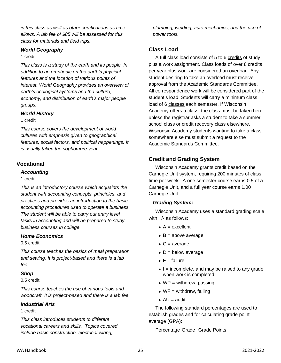*in this class as well as other certifications as time allows. A lab fee of \$85 will be assessed for this class for materials and field trips.* 

#### *World Geography*

#### 1 credit

*This class is a study of the earth and its people. In addition to an emphasis on the earth's physical features and the location of various points of interest, World Geography provides an overview of earth's ecological systems and the culture, economy, and distribution of earth's major people groups.*

#### *World History*

#### 1 credit

*This course covers the development of world cultures with emphasis given to geographical features, social factors, and political happenings. It is usually taken the sophomore year.*

## **Vocational**

#### *Accounting*

#### 1 credit

*This is an introductory course which acquaints the student with accounting concepts, principles, and practices and provides an introduction to the basic accounting procedures used to operate a business. The student will be able to carry out entry level tasks in accounting and will be prepared to study business courses in college.*

#### *Home Economics*

#### 0.5 credit

*This course teaches the basics of meal preparation and sewing. It is project-based and there is a lab fee.*

#### *Shop*

#### 0.5 credit

*This course teaches the use of various tools and woodcraft. It is project-based and there is a lab fee.*

#### *Industrial Arts*

#### 1 credit

*This class introduces students to different vocational careers and skills. Topics covered include basic construction, electrical wiring,* 

*plumbing, welding, auto mechanics, and the use of power tools.*

## **Class Load**

A full class load consists of 5 to 6 credits of study plus a work assignment. Class loads of over 8 credits per year plus work are considered an overload. Any student desiring to take an overload must receive approval from the Academic Standards Committee. All correspondence work will be considered part of the student's load. Students will carry a minimum class load of 6 classes each semester. If Wisconsin Academy offers a class, the class must be taken here unless the registrar asks a student to take a summer school class or credit recovery class elsewhere. Wisconsin Academy students wanting to take a class somewhere else must submit a request to the Academic Standards Committee.

## **Credit and Grading System**

Wisconsin Academy grants credit based on the Carnegie Unit system, requiring 200 minutes of class time per week. A one semester course earns 0.5 of a Carnegie Unit, and a full year course earns 1.00 Carnegie Unit.

#### *Grading System:*

Wisconsin Academy uses a standard grading scale with +/- as follows:

- $\bullet$  A = excellent
- $\bullet$  B = above average
- $\bullet$  C = average
- $\bullet$  D = below average
- $\bullet$  F = failure
- $\bullet$  I = incomplete, and may be raised to any grade when work is completed
- $WP =$  withdrew, passing
- $\bullet$  WF = withdrew, failing
- $\bullet$  AU = audit

The following standard percentages are used to establish grades and for calculating grade point average (GPA):

Percentage Grade Grade Points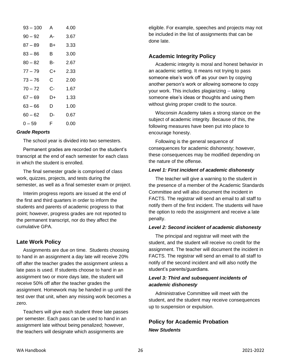| 93 – 100  | А  | 4.00 |
|-----------|----|------|
| 90 – 92   | А- | 3.67 |
| 87 – 89   | B+ | 3.33 |
| 83 – 86   | в  | 3.00 |
| $80 - 82$ | в- | 2.67 |
| $77 - 79$ | C+ | 2.33 |
| $73 - 76$ | C  | 2.00 |
| $70 - 72$ | C- | 1.67 |
| 67 – 69   | D+ | 1.33 |
| 63 – 66   | D  | 1.00 |
| 60 – 62   | D- | 0.67 |
| 0 – 59    | F  | 0.00 |

#### *Grade Reports*

The school year is divided into two semesters.

Permanent grades are recorded on the student's transcript at the end of each semester for each class in which the student is enrolled.

The final semester grade is comprised of class work, quizzes, projects, and tests during the semester, as well as a final semester exam or project.

Interim progress reports are issued at the end of the first and third quarters in order to inform the students and parents of academic progress to that point; however, progress grades are not reported to the permanent transcript, nor do they affect the cumulative GPA.

## **Late Work Policy**

Assignments are due on time. Students choosing to hand in an assignment a day late will receive 20% off after the teacher grades the assignment unless a late pass is used. If students choose to hand in an assignment two or more days late, the student will receive 50% off after the teacher grades the assignment. Homework may be handed in up until the test over that unit, when any missing work becomes a zero.

Teachers will give each student three late passes per semester. Each pass can be used to hand in an assignment late without being penalized; however, the teachers will designate which assignments are

eligible. For example, speeches and projects may not be included in the list of assignments that can be done late.

#### **Academic Integrity Policy**

Academic integrity is moral and honest behavior in an academic setting. It means not trying to pass someone else's work off as your own by copying another person's work or allowing someone to copy your work. This includes plagiarizing -- taking someone else's ideas or thoughts and using them without giving proper credit to the source.

Wisconsin Academy takes a strong stance on the subject of academic integrity. Because of this, the following measures have been put into place to encourage honesty.

Following is the general sequence of consequences for academic dishonesty; however, these consequences may be modified depending on the nature of the offense.

#### *Level 1: First incident of academic dishonesty*

The teacher will give a warning to the student in the presence of a member of the Academic Standards Committee and will also document the incident in FACTS. The registrar will send an email to all staff to notify them of the first incident. The students will have the option to redo the assignment and receive a late penalty.

#### *Level 2: Second incident of academic dishonesty*

The principal and registrar will meet with the student, and the student will receive no credit for the assignment. The teacher will document the incident in FACTS. The registrar will send an email to all staff to notify of the second incident and will also notify the student's parents/guardians.

#### *Level 3: Third and subsequent incidents of academic dishonesty*

Administrative Committee will meet with the student, and the student may receive consequences up to suspension or expulsion.

## **Policy for Academic Probation**  *New Students*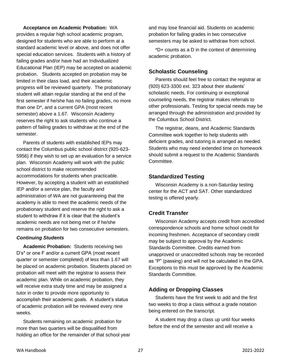**Acceptance on Academic Probation:** WA provides a regular high school academic program, designed for students who are able to perform at a standard academic level or above, and does not offer special education services. Students with a history of failing grades and/or have had an Individualized Educational Plan (IEP) may be accepted on academic probation. Students accepted on probation may be limited in their class load, and their academic progress will be reviewed quarterly. The probationary student will attain regular standing at the end of the first semester if he/she has no failing grades, no more than one D\*, and a current GPA (most recent semester) above a 1.67. Wisconsin Academy reserves the right to ask students who continue a pattern of failing grades to withdraw at the end of the semester.

Parents of students with established IEPs may contact the Columbus public school district (920-623- 5956) if they wish to set up an evaluation for a service plan. Wisconsin Academy will work with the public school district to make recommended accommodations for students when practicable. However, by accepting a student with an established IEP and/or a service plan, the faculty and administration of WA are not guaranteeing that the academy is able to meet the academic needs of the probationary student and reserve the right to ask a student to withdraw if it is clear that the student's academic needs are not being met or if he/she remains on probation for two consecutive semesters.

#### *Continuing Students*

**Academic Probation:** Students receiving two D's\* or one F and/or a current GPA (most recent quarter or semester completed) of less than 1.67 will be placed on academic probation. Students placed on probation will meet with the registrar to assess their academic plan. While on academic probation, they will receive extra study time and may be assigned a tutor in order to provide more opportunity to accomplish their academic goals. A student's status of academic probation will be reviewed every nine weeks.

Students remaining on academic probation for more than two quarters will be disqualified from holding an office for the remainder of that school year and may lose financial aid. Students on academic probation for failing grades in two consecutive semesters may be asked to withdraw from school.

\*D+ counts as a D in the context of determining academic probation.

## **Scholastic Counseling**

Parents should feel free to contact the registrar at (920) 623-3300 ext. 323 about their students' scholastic needs. For continuing or exceptional counseling needs, the registrar makes referrals to other professionals. Testing for special needs may be arranged through the administration and provided by the Columbus School District.

The registrar, deans, and Academic Standards Committee work together to help students with deficient grades, and tutoring is arranged as needed. Students who may need extended time on homework should submit a request to the Academic Standards Committee.

## **Standardized Testing**

Wisconsin Academy is a non-Saturday testing center for the ACT and SAT. Other standardized testing is offered yearly.

## **Credit Transfer**

Wisconsin Academy accepts credit from accredited correspondence schools and home school credit for incoming freshmen. Acceptance of secondary credit may be subject to approval by the Academic Standards Committee. Credits earned from unapproved or unaccredited schools may be recorded as "P" (passing) and will not be calculated in the GPA. Exceptions to this must be approved by the Academic Standards Committee.

## **Adding or Dropping Classes**

Students have the first week to add and the first two weeks to drop a class without a grade notation being entered on the transcript.

A student may drop a class up until four weeks before the end of the semester and will receive a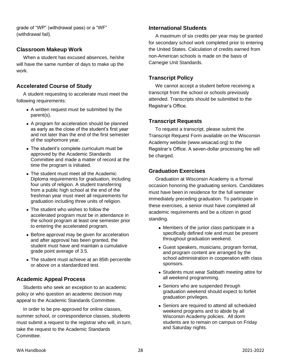grade of "WP" (withdrawal pass) or a "WF" (withdrawal fail).

## **Classroom Makeup Work**

When a student has excused absences, he/she will have the same number of days to make up the work.

## **Accelerated Course of Study**

A student requesting to accelerate must meet the following requirements:

- A written request must be submitted by the parent(s).
- A program for acceleration should be planned as early as the close of the student's first year and not later than the end of the first semester of the sophomore year.
- The student's complete curriculum must be approved by the Academic Standards Committee and made a matter of record at the time the program is initiated.
- The student must meet all the Academic Diploma requirements for graduation, including four units of religion. A student transferring from a public high school at the end of the freshman year must meet all requirements for graduation including three units of religion.
- The student who wishes to follow the accelerated program must be in attendance in the school program at least one semester prior to entering the accelerated program.
- Before approval may be given for acceleration and after approval has been granted, the student must have and maintain a cumulative grade point average of 3.5.
- The student must achieve at an 85th percentile or above on a standardized test.

## **Academic Appeal Process**

Students who seek an exception to an academic policy or who question an academic decision may appeal to the Academic Standards Committee.

In order to be pre-approved for online classes, summer school, or correspondence classes, students must submit a request to the registrar who will, in turn, take the request to the Academic Standards Committee.

## **International Students**

A maximum of six credits per year may be granted for secondary school work completed prior to entering the United States. Calculation of credits earned from non-American schools is made on the basis of Carnegie Unit Standards.

## **Transcript Policy**

We cannot accept a student before receiving a transcript from the school or schools previously attended. Transcripts should be submitted to the Registrar's Office.

## **Transcript Requests**

To request a transcript, please submit the Transcript Request Form available on the Wisconsin Academy website (www.wisacad.org) to the Registrar's Office. A seven-dollar processing fee will be charged.

## **Graduation Exercises**

Graduation at Wisconsin Academy is a formal occasion honoring the graduating seniors. Candidates must have been in residence for the full semester immediately preceding graduation. To participate in these exercises, a senior must have completed all academic requirements and be a citizen in good standing.

- Members of the junior class participate in a specifically defined role and must be present throughout graduation weekend.
- Guest speakers, musicians, program format, and program content are arranged by the school administration in cooperation with class sponsors.
- Students must wear Sabbath meeting attire for all weekend programming.
- Seniors who are suspended through graduation weekend should expect to forfeit graduation privileges.
- Seniors are required to attend all scheduled weekend programs and to abide by all Wisconsin Academy policies. All dorm students are to remain on campus on Friday and Saturday nights.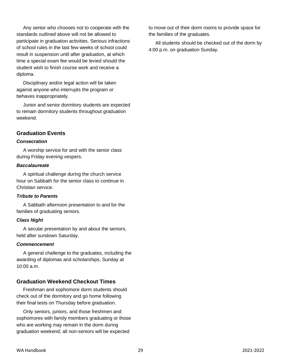Any senior who chooses not to cooperate with the standards outlined above will not be allowed to participate in graduation activities. Serious infractions of school rules in the last few weeks of school could result in suspension until after graduation, at which time a special exam fee would be levied should the student wish to finish course work and receive a diploma.

Disciplinary and/or legal action will be taken against anyone who interrupts the program or behaves inappropriately.

Junior and senior dormitory students are expected to remain dormitory students throughout graduation weekend.

#### **Graduation Events**

#### *Consecration*

A worship service for and with the senior class during Friday evening vespers.

#### *Baccalaureate*

A spiritual challenge during the church service hour on Sabbath for the senior class to continue in Christian service.

#### *Tribute to Parents*

A Sabbath afternoon presentation to and for the families of graduating seniors.

#### *Class Night*

A secular presentation by and about the seniors, held after sundown Saturday.

#### *Commencement*

A general challenge to the graduates, including the awarding of diplomas and scholarships, Sunday at 10:00 a.m.

## **Graduation Weekend Checkout Times**

Freshman and sophomore dorm students should check out of the dormitory and go home following their final tests on Thursday before graduation.

Only seniors, juniors, and those freshmen and sophomores with family members graduating or those who are working may remain in the dorm during graduation weekend; all non-seniors will be expected

to move out of their dorm rooms to provide space for the families of the graduates.

All students should be checked out of the dorm by 4:00 p.m. on graduation Sunday.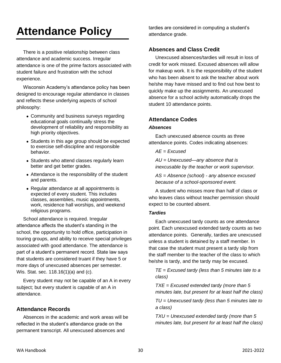## **Attendance Policy**

There is a positive relationship between class attendance and academic success. Irregular attendance is one of the prime factors associated with student failure and frustration with the school experience.

Wisconsin Academy's attendance policy has been designed to encourage regular attendance in classes and reflects these underlying aspects of school philosophy:

- Community and business surveys regarding educational goals continually stress the development of reliability and responsibility as high priority objectives.
- Students in this age group should be expected to exercise self-discipline and responsible behavior.
- Students who attend classes regularly learn better and get better grades.
- Attendance is the responsibility of the student and parents.
- Regular attendance at all appointments is expected of every student. This includes classes, assemblies, music appointments, work, residence hall worships, and weekend religious programs.

School attendance is required. Irregular attendance affects the student's standing in the school, the opportunity to hold office, participation in touring groups, and ability to receive special privileges associated with good attendance. The attendance is part of a student's permanent record. State law says that students are considered truant if they have 5 or more days of unexcused absences per semester. Wis. Stat. sec. 118.16(1)(a) and (c).

Every student may not be capable of an A in every subject; but every student is capable of an A in attendance.

## **Attendance Records**

Absences in the academic and work areas will be reflected in the student's attendance grade on the permanent transcript. All unexcused absences and

tardies are considered in computing a student's attendance grade.

## **Absences and Class Credit**

Unexcused absences/tardies will result in loss of credit for work missed. Excused absences will allow for makeup work. It is the responsibility of the student who has been absent to ask the teacher about work he/she may have missed and to find out how best to quickly make up the assignments. An unexcused absence for a school activity automatically drops the student 10 attendance points.

## **Attendance Codes**

#### *Absences*

Each unexcused absence counts as three attendance points. Codes indicating absences:

#### *AE = Excused*

*AU = Unexcused—any absence that is inexcusable by the teacher or work supervisor.*

*AS = Absence (school) - any absence excused because of a school-sponsored event.*

A student who misses more than half of class or who leaves class without teacher permission should expect to be counted absent.

#### *Tardies*

Each unexcused tardy counts as one attendance point. Each unexcused extended tardy counts as two attendance points. Generally, tardies are unexcused unless a student is detained by a staff member. In that case the student must present a tardy slip from the staff member to the teacher of the class to which he/she is tardy, and the tardy may be excused.

*TE = Excused tardy (less than 5 minutes late to a class)*

*TXE = Excused extended tardy (more than 5 minutes late, but present for at least half the class)*

*TU = Unexcused tardy (less than 5 minutes late to a class)* 

*TXU = Unexcused extended tardy (more than 5 minutes late, but present for at least half the class)*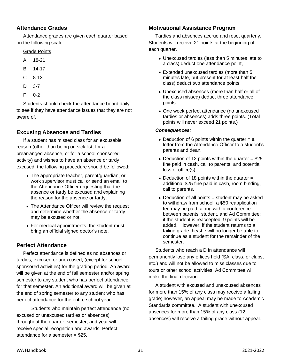## **Attendance Grades**

Attendance grades are given each quarter based on the following scale:

#### Grade Points

- A 18-21
- B 14-17
- C 8-13
- D 3-7
- F 0-2

Students should check the attendance board daily to see if they have attendance issues that they are not aware of.

## **Excusing Absences and Tardies**

If a student has missed class for an excusable reason (other than being on sick list, for a prearranged absence, or for a school-sponsored activity) and wishes to have an absence or tardy excused, the following procedure should be followed:

- The appropriate teacher, parent/guardian, or work supervisor must call or send an email to the Attendance Officer requesting that the absence or tardy be excused and explaining the reason for the absence or tardy.
- The Attendance Officer will review the request and determine whether the absence or tardy may be excused or not.
- For medical appointments, the student must bring an official signed doctor's note.

## **Perfect Attendance**

Perfect attendance is defined as no absences or tardies, excused or unexcused, (except for school sponsored activities) for the grading period. An award will be given at the end of fall semester and/or spring semester to any student who has perfect attendance for that semester. An additional award will be given at the end of spring semester to any student who has perfect attendance for the entire school year.

 Students who maintain perfect attendance (no excused or unexcused tardies or absences) throughout the quarter, semester, and year will receive special recognition and awards. Perfect attendance for a semester = \$25.

## **Motivational Assistance Program**

Tardies and absences accrue and reset quarterly. Students will receive 21 points at the beginning of each quarter.

- Unexcused tardies (less than 5 minutes late to a class) deduct one attendance point,
- Extended unexcused tardies (more than 5 minutes late, but present for at least half the class) deduct two attendance points,
- Unexcused absences (more than half or all of the class missed) deduct three attendance points.
- One week perfect attendance (no unexcused tardies or absences) adds three points. (Total points will never exceed 21 points.)

#### *Consequences:*

- Deduction of 6 points within the quarter  $=$  a letter from the Attendance Officer to a student's parents and dean.
- Deduction of 12 points within the quarter  $= $25$ fine paid in cash, call to parents, and potential loss of office(s).
- Deduction of 18 points within the quarter = additional \$25 fine paid in cash, room binding, call to parents.
- Deduction of all points  $=$  student may be asked to withdraw from school; a \$50 reapplication fee may be paid, along with a conference between parents, student, and Ad Committee; if the student is reaccepted, 9 points will be added. However; if the student returns to a failing grade, he/she will no longer be able to continue as a student for the remainder of the semester.

Students who reach a D in attendance will permanently lose any offices held (SA, class, or clubs, etc.) and will not be allowed to miss classes due to tours or other school activities. Ad Committee will make the final decision.

A student with excused and unexcused absences for more than 15% of any class may receive a failing grade; however, an appeal may be made to Academic Standards committee. A student with unexcused absences for more than 15% of any class (12 absences) will receive a failing grade without appeal.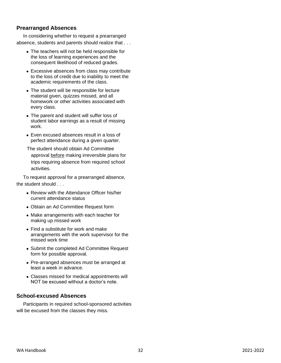## **Prearranged Absences**

In considering whether to request a prearranged absence, students and parents should realize that . . .

- The teachers will not be held responsible for the loss of learning experiences and the consequent likelihood of reduced grades.
- Excessive absences from class may contribute to the loss of credit due to inability to meet the academic requirements of the class.
- The student will be responsible for lecture material given, quizzes missed, and all homework or other activities associated with every class.
- The parent and student will suffer loss of student labor earnings as a result of missing work.
- Even excused absences result in a loss of perfect attendance during a given quarter.

The student should obtain Ad Committee approval before making irreversible plans for trips requiring absence from required school activities.

To request approval for a prearranged absence, the student should . . .

- Review with the Attendance Officer his/her current attendance status
- Obtain an Ad Committee Request form
- Make arrangements with each teacher for making up missed work
- Find a substitute for work and make arrangements with the work supervisor for the missed work time
- Submit the completed Ad Committee Request form for possible approval.
- Pre-arranged absences must be arranged at least a week in advance.
- Classes missed for medical appointments will NOT be excused without a doctor's note.

## **School-excused Absences**

Participants in required school-sponsored activities will be excused from the classes they miss.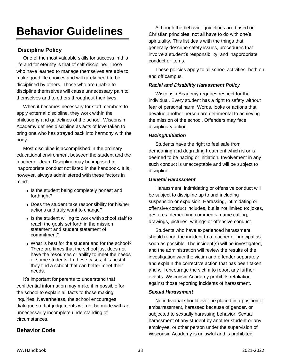## **Behavior Guidelines**

## **Discipline Policy**

One of the most valuable skills for success in this life and for eternity is that of self-discipline. Those who have learned to manage themselves are able to make good life choices and will rarely need to be disciplined by others. Those who are unable to discipline themselves will cause unnecessary pain to themselves and to others throughout their lives.

When it becomes necessary for staff members to apply external discipline, they work within the philosophy and guidelines of the school. Wisconsin Academy defines discipline as acts of love taken to bring one who has strayed back into harmony with the body.

Most discipline is accomplished in the ordinary educational environment between the student and the teacher or dean. Discipline may be imposed for inappropriate conduct not listed in the handbook. It is, however, always administered with these factors in mind:

- Is the student being completely honest and forthright?
- Does the student take responsibility for his/her actions and truly want to change?
- Is the student willing to work with school staff to reach the goals set forth in the mission statement and student statement of commitment?
- What is best for the student and for the school? There are times that the school just does not have the resources or ability to meet the needs of some students. In these cases, it is best if they find a school that can better meet their needs.

It's important for parents to understand that confidential information may make it impossible for the school to explain all facts to those making inquiries. Nevertheless, the school encourages dialogue so that judgements will not be made with an unnecessarily incomplete understanding of circumstances.

## **Behavior Code**

Although the behavior guidelines are based on Christian principles, not all have to do with one's spirituality. This list deals with the things that generally describe safety issues, procedures that involve a student's responsibility, and inappropriate conduct or items.

These policies apply to all school activities, both on and off campus.

#### *Racial and Disability Harassment Policy*

Wisconsin Academy requires respect for the individual. Every student has a right to safety without fear of personal harm. Words, looks or actions that devalue another person are detrimental to achieving the mission of the school. Offenders may face disciplinary action.

#### *Hazing/Initiation*

Students have the right to feel safe from demeaning and degrading treatment which is or is deemed to be hazing or initiation. Involvement in any such conduct is unacceptable and will be subject to discipline.

#### *General Harassment*

Harassment, intimidating or offensive conduct will be subject to discipline up to and including suspension or expulsion. Harassing, intimidating or offensive conduct includes, but is not limited to: jokes, gestures, demeaning comments, name calling, drawings, pictures, writings or offensive conduct.

Students who have experienced harassment should report the incident to a teacher or principal as soon as possible. The incident(s) will be investigated, and the administration will review the results of the investigation with the victim and offender separately and explain the corrective action that has been taken and will encourage the victim to report any further events. Wisconsin Academy prohibits retaliation against those reporting incidents of harassment.

#### *Sexual Harassment*

No individual should ever be placed in a position of embarrassment, harassed because of gender, or subjected to sexually harassing behavior. Sexual harassment of any student by another student or any employee, or other person under the supervision of Wisconsin Academy is unlawful and is prohibited.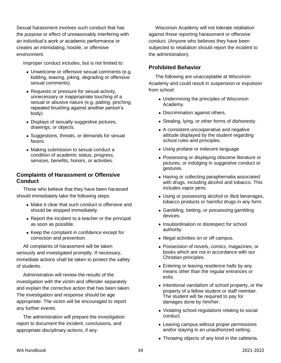Sexual harassment involves such conduct that has the purpose or effect of unreasonably interfering with an individual's work or academic performance or creates an intimidating, hostile, or offensive environment.

Improper conduct includes, but is not limited to:

- Unwelcome or offensive sexual comments (e.g. kidding, teasing, joking, degrading or offensive sexual comments).
- Requests or pressure for sexual activity, unnecessary or inappropriate touching of a sexual or abusive nature (e.g. patting, pinching, repeated brushing against another person's body)
- Displays of sexually suggestive pictures, drawings, or objects.
- Suggestions, threats, or demands for sexual favors.
- Making submission to sexual conduct a condition of academic status, progress, services, benefits, honors, or activities.

#### **Complaints of Harassment or Offensive Conduct**

Those who believe that they have been harassed should immediately take the following steps:

- Make it clear that such conduct is offensive and should be stopped immediately.
- Report the incident to a teacher or the principal as soon as possible.
- Keep the complaint in confidence except for correction and prevention.

All complaints of harassment will be taken seriously and investigated promptly. If necessary, immediate actions shall be taken to protect the safety of students.

Administration will review the results of the investigation with the victim and offender separately and explain the corrective action that has been taken. The investigation and response should be age appropriate. The victim will be encouraged to report any further events.

The administration will prepare the investigation report to document the incident, conclusions, and appropriate disciplinary actions, if any.

Wisconsin Academy will not tolerate retaliation against those reporting harassment or offensive conduct. (Anyone who believes they have been subjected to retaliation should report the incident to the administration).

## **Prohibited Behavior**

The following are unacceptable at Wisconsin Academy and could result in suspension or expulsion from school:

- Undermining the principles of Wisconsin Academy.
- Discrimination against others.
- Stealing, lying, or other forms of dishonesty.
- A consistent uncooperative and negative attitude displayed by the student regarding school rules and principles.
- Using profane or indecent language
- Possessing or displaying obscene literature or pictures, or indulging in suggestive conduct or gestures.
- Having or collecting paraphernalia associated with drugs, including alcohol and tobacco. This includes vapor pens.
- Using or possessing alcohol or illicit beverages, tobacco products or harmful drugs in any form.
- Gambling, betting, or possessing gambling devices.
- Insubordination or disrespect for school authority.
- Illegal activities on or off campus.
- Possession of novels, comics, magazines, or books which are not in accordance with our Christian principles.
- Entering or leaving residence halls by any means other than the regular entrances or exits.
- Intentional vandalism of school property, or the property of a fellow student or staff member. The student will be required to pay for damages done by him/her.
- Violating school regulations relating to social conduct.
- Leaving campus without proper permissions and/or staying in an unauthorized setting.
- Throwing objects of any kind in the cafeteria.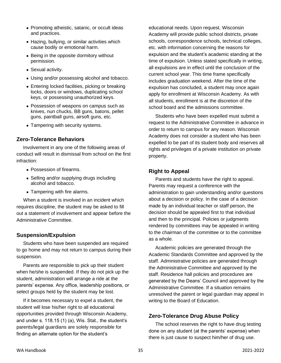- Promoting atheistic, satanic, or occult ideas and practices.
- Hazing, bullying, or similar activities which cause bodily or emotional harm.
- Being in the opposite dormitory without permission.
- Sexual activity.
- Using and/or possessing alcohol and tobacco.
- Entering locked facilities, picking or breaking locks, doors or windows, duplicating school keys, or possessing unauthorized keys.
- Possession of weapons on campus such as knives, nun chucks, BB guns, batons, pellet guns, paintball guns, airsoft guns, etc.
- Tampering with security systems.

## **Zero-Tolerance Behaviors**

Involvement in any one of the following areas of conduct will result in dismissal from school on the first infraction:

- Possession of firearms.
- Selling and/or supplying drugs including alcohol and tobacco.
- Tampering with fire alarms.

When a student is involved in an incident which requires discipline, the student may be asked to fill out a statement of involvement and appear before the Administrative Committee.

## **Suspension/Expulsion**

Students who have been suspended are required to go home and may not return to campus during their suspension.

Parents are responsible to pick up their student when he/she is suspended. If they do not pick up the student, administration will arrange a ride at the parents' expense. Any office, leadership positions, or select groups held by the student may be lost.

If it becomes necessary to expel a student, the student will lose his/her right to all educational opportunities provided through Wisconsin Academy, and under s. 118.15 (1) (a), Wis. Stat., the student's parents/legal guardians are solely responsible for finding an alternate option for the student's

educational needs. Upon request, Wisconsin Academy will provide public school districts, private schools, correspondence schools, technical colleges, etc. with information concerning the reasons for expulsion and the student's academic standing at the time of expulsion. Unless stated specifically in writing, all expulsions are in effect until the conclusion of the current school year. This time frame specifically includes graduation weekend. After the time of the expulsion has concluded, a student may once again apply for enrollment at Wisconsin Academy. As with all students, enrollment is at the discretion of the school board and the admissions committee.

Students who have been expelled must submit a request to the Administrative Committee in advance in order to return to campus for any reason. Wisconsin Academy does not consider a student who has been expelled to be part of its student body and reserves all rights and privileges of a private institution on private property.

## **Right to Appeal**

Parents and students have the right to appeal. Parents may request a conference with the administration to gain understanding and/or questions about a decision or policy. In the case of a decision made by an individual teacher or staff person, the decision should be appealed first to that individual and then to the principal. Policies or judgments rendered by committees may be appealed in writing to the chairman of the committee or to the committee as a whole.

Academic policies are generated through the Academic Standards Committee and approved by the staff. Administrative policies are generated through the Administrative Committee and approved by the staff. Residence hall policies and procedures are generated by the Deans' Council and approved by the Administrative Committee. If a situation remains unresolved the parent or legal guardian may appeal in writing to the Board of Education.

## **Zero-Tolerance Drug Abuse Policy**

The school reserves the right to have drug testing done on any student (at the parents' expense) when there is just cause to suspect him/her of drug use.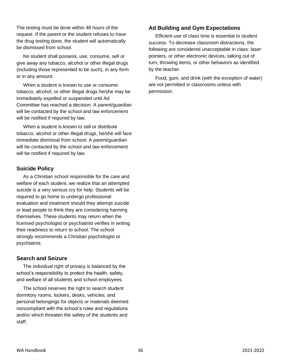The testing must be done within 48 hours of the request. If the parent or the student refuses to have the drug testing done, the student will automatically be dismissed from school.

No student shall possess, use, consume, sell or give away any tobacco, alcohol or other illegal drugs (including those represented to be such), in any form or in any amount.

When a student is known to use or consume tobacco, alcohol, or other illegal drugs he/she may be immediately expelled or suspended until Ad Committee has reached a decision. A parent/guardian will be contacted by the school and law enforcement will be notified if required by law.

When a student is known to sell or distribute tobacco, alcohol or other illegal drugs, he/she will face immediate dismissal from school. A parent/guardian will be contacted by the school and law enforcement will be notified if required by law.

## **Suicide Policy**

As a Christian school responsible for the care and welfare of each student, we realize that an attempted suicide is a very serious cry for help. Students will be required to go home to undergo professional evaluation and treatment should they attempt suicide or lead people to think they are considering harming themselves. These students may return when the licensed psychologist or psychiatrist verifies in writing their readiness to return to school. The school strongly recommends a Christian psychologist or psychiatrist.

## **Search and Seizure**

The individual right of privacy is balanced by the school's responsibility to protect the health, safety, and welfare of all students and school employees.

The school reserves the right to search student dormitory rooms, lockers, desks, vehicles, and personal belongings for objects or materials deemed noncompliant with the school's rules and regulations and/or which threaten the safety of the students and staff.

## **Ad Building and Gym Expectations**

Efficient use of class time is essential to student success. To decrease classroom distractions, the following are considered unacceptable in class: laser pointers, or other electronic devices, talking out of turn, throwing items, or other behaviors as identified by the teacher.

Food, gum, and drink (with the exception of water) are not permitted in classrooms unless with permission.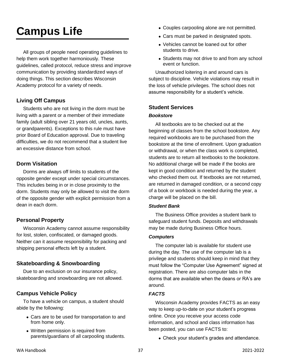## **Campus Life**

All groups of people need operating guidelines to help them work together harmoniously. These guidelines, called protocol, reduce stress and improve communication by providing standardized ways of doing things. This section describes Wisconsin Academy protocol for a variety of needs.

## **Living Off Campus**

Students who are not living in the dorm must be living with a parent or a member of their immediate family (adult sibling over 21 years old, uncles, aunts, or grandparents). Exceptions to this rule must have prior Board of Education approval. Due to traveling difficulties, we do not recommend that a student live an excessive distance from school.

## **Dorm Visitation**

Dorms are always off limits to students of the opposite gender except under special circumstances. This includes being in or in close proximity to the dorm. Students may only be allowed to visit the dorm of the opposite gender with explicit permission from a dean in each dorm.

## **Personal Property**

Wisconsin Academy cannot assume responsibility for lost, stolen, confiscated, or damaged goods. Neither can it assume responsibility for packing and shipping personal effects left by a student.

## **Skateboarding & Snowboarding**

Due to an exclusion on our insurance policy, skateboarding and snowboarding are not allowed.

## **Campus Vehicle Policy**

To have a vehicle on campus, a student should abide by the following:

- Cars are to be used for transportation to and from home only.
- Written permission is required from parents/guardians of all carpooling students.
- Couples carpooling alone are not permitted.
- Cars must be parked in designated spots.
- Vehicles cannot be loaned out for other students to drive.
- Students may not drive to and from any school event or function.

Unauthorized loitering in and around cars is subject to discipline. Vehicle violations may result in the loss of vehicle privileges. The school does not assume responsibility for a student's vehicle.

## **Student Services**

#### *Bookstore*

All textbooks are to be checked out at the beginning of classes from the school bookstore. Any required workbooks are to be purchased from the bookstore at the time of enrollment. Upon graduation or withdrawal, or when the class work is completed, students are to return all textbooks to the bookstore. No additional charge will be made if the books are kept in good condition and returned by the student who checked them out. If textbooks are not returned, are returned in damaged condition, or a second copy of a book or workbook is needed during the year, a charge will be placed on the bill.

#### *Student Bank*

The Business Office provides a student bank to safeguard student funds. Deposits and withdrawals may be made during Business Office hours.

#### *Computers*

The computer lab is available for student use during the day. The use of the computer lab is a privilege and students should keep in mind that they must follow the "Computer Use Agreement" signed at registration. There are also computer labs in the dorms that are available when the deans or RA's are around.

#### *FACTS*

Wisconsin Academy provides FACTS as an easy way to keep up-to-date on your student's progress online. Once you receive your access code information, and school and class information has been posted, you can use FACTS to:

• Check your student's grades and attendance.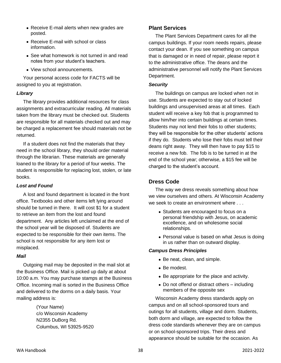- Receive E-mail alerts when new grades are posted.
- Receive E-mail with school or class information.
- See what homework is not turned in and read notes from your student's teachers.
- View school announcements.

Your personal access code for FACTS will be assigned to you at registration.

#### *Library*

The library provides additional resources for class assignments and extracurricular reading. All materials taken from the library must be checked out. Students are responsible for all materials checked out and may be charged a replacement fee should materials not be returned.

If a student does not find the materials that they need in the school library, they should order material through the librarian. These materials are generally loaned to the library for a period of four weeks. The student is responsible for replacing lost, stolen, or late books.

#### *Lost and Found*

A lost and found department is located in the front office. Textbooks and other items left lying around should be turned in there. It will cost \$1 for a student to retrieve an item from the lost and found department. Any articles left unclaimed at the end of the school year will be disposed of. Students are expected to be responsible for their own items. The school is not responsible for any item lost or misplaced.

#### *Mail*

Outgoing mail may be deposited in the mail slot at the Business Office. Mail is picked up daily at about 10:00 a.m. You may purchase stamps at the Business Office. Incoming mail is sorted in the Business Office and delivered to the dorms on a daily basis. Your mailing address is:

> (Your Name) c/o Wisconsin Academy N2355 DuBorg Rd. Columbus, WI 53925-9520

#### **Plant Services**

The Plant Services Department cares for all the campus buildings. If your room needs repairs, please contact your dean. If you see something on campus that is damaged or in need of repair, please report it to the administrative office. The deans and the administrative personnel will notify the Plant Services Department.

#### *Security*

The buildings on campus are locked when not in use. Students are expected to stay out of locked buildings and unsupervised areas at all times. Each student will receive a key fob that is programmed to allow him/her into certain buildings at certain times. Students may not lend their fobs to other students; they will be responsible for the other students' actions if they do. Students who lose their fobs must tell their deans right away. They will then have to pay \$15 to receive a new fob. The fob is to be turned in at the end of the school year; otherwise, a \$15 fee will be charged to the student's account.

#### **Dress Code**

The way we dress reveals something about how we view ourselves and others. At Wisconsin Academy we seek to create an environment where  $\ldots$ 

- Students are encouraged to focus on a personal friendship with Jesus, on academic excellence, and on wholesome social relationships.
- Personal value is based on what Jesus is doing in us rather than on outward display.

#### *Campus Dress Principles*

- Be neat, clean, and simple.
- Be modest.
- Be appropriate for the place and activity.
- Do not offend or distract others including members of the opposite sex

Wisconsin Academy dress standards apply on campus and on all school-sponsored tours and outings for all students, village and dorm. Students, both dorm and village, are expected to follow the dress code standards whenever they are on campus or on school-sponsored trips. Their dress and appearance should be suitable for the occasion. As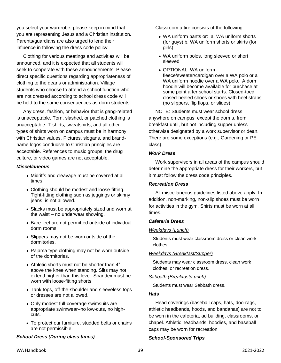you select your wardrobe, please keep in mind that you are representing Jesus and a Christian institution. Parents/guardians are also urged to lend their influence in following the dress code policy.

Clothing for various meetings and activities will be announced, and it is expected that all students will seek to cooperate with these announcements. Please direct specific questions regarding appropriateness of clothing to the deans or administration. Village students who choose to attend a school function who are not dressed according to school dress code will be held to the same consequences as dorm students.

Any dress, fashion, or behavior that is gang-related is unacceptable. Torn, slashed, or patched clothing is unacceptable. T-shirts, sweatshirts, and all other types of shirts worn on campus must be in harmony with Christian values. Pictures, slogans, and brandname logos conducive to Christian principles are acceptable. References to music groups, the drug culture, or video games are not acceptable.

#### *Miscellaneous*

- Midriffs and cleavage must be covered at all times.
- Clothing should be modest and loose-fitting. Tight-fitting clothing such as jeggings or skinny jeans, is not allowed.
- Slacks must be appropriately sized and worn at the waist – no underwear showing.
- Bare feet are not permitted outside of individual dorm rooms
- Slippers may not be worn outside of the dormitories.
- Pajama type clothing may not be worn outside of the dormitories.
- Athletic shorts must not be shorter than 4" above the knee when standing. Slits may not extend higher than this level. Spandex must be worn with loose-fitting shorts.
- Tank tops, off-the-shoulder and sleeveless tops or dresses are not allowed.
- Only modest full-coverage swimsuits are appropriate swimwear–no low-cuts, no highcuts.
- To protect our furniture, studded belts or chains are not permissible.

#### *School Dress (During class times)*

Classroom attire consists of the following:

- WA uniform pants or: a. WA uniform shorts (for guys) b. WA uniform shorts or skirts (for girls)
- WA uniform polos, long sleeved or short sleeved
- OPTIONAL: WA uniform fleece/sweater/cardigan over a WA polo or a WA uniform hoodie over a WA polo. A dorm hoodie will become available for purchase at some point after school starts. Closed-toed, closed-heeled shoes or shoes with heel straps (no slippers, flip flops, or slides)

NOTE: Students must wear school dress anywhere on campus, except the dorms, from breakfast until, but not including supper unless otherwise designated by a work supervisor or dean. There are some exceptions (e.g., Gardening or PE class).

#### *Work Dress*

Work supervisors in all areas of the campus should determine the appropriate dress for their workers, but it must follow the dress code principles.

#### *Recreation Dress*

All miscellaneous guidelines listed above apply. In addition, non-marking, non-slip shoes must be worn for activities in the gym. Shirts must be worn at all times.

#### *Cafeteria Dress*

#### *Weekdays (Lunch)*

Students must wear classroom dress or clean work clothes.

#### *Weekdays (Breakfast/Supper)*

Students may wear classroom dress, clean work clothes, or recreation dress.

#### *Sabbath (Breakfast/Lunch)*

Students must wear Sabbath dress.

#### *Hats*

Head coverings (baseball caps, hats, doo-rags, athletic headbands, hoods, and bandanas) are not to be worn in the cafeteria, ad building, classrooms, or chapel. Athletic headbands, hoodies, and baseball caps may be worn for recreation.

#### *School-Sponsored Trips*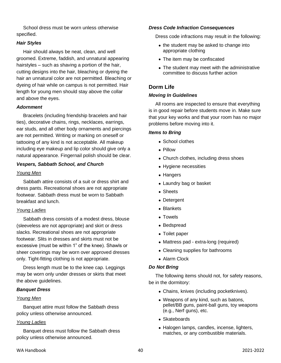School dress must be worn unless otherwise specified.

#### *Hair Styles*

Hair should always be neat, clean, and well groomed. Extreme, faddish, and unnatural appearing hairstyles – such as shaving a portion of the hair, cutting designs into the hair, bleaching or dyeing the hair an unnatural color are not permitted. Bleaching or dyeing of hair while on campus is not permitted. Hair length for young men should stay above the collar and above the eyes.

#### *Adornment*

Bracelets (including friendship bracelets and hair ties), decorative chains, rings, necklaces, earrings, ear studs, and all other body ornaments and piercings are not permitted. Writing or marking on oneself or tattooing of any kind is not acceptable. All makeup including eye makeup and lip color should give only a natural appearance. Fingernail polish should be clear.

#### *Vespers, Sabbath School, and Church*

#### *Young Men*

Sabbath attire consists of a suit or dress shirt and dress pants. Recreational shoes are not appropriate footwear. Sabbath dress must be worn to Sabbath breakfast and lunch.

#### *Young Ladies*

Sabbath dress consists of a modest dress, blouse (sleeveless are not appropriate) and skirt or dress slacks. Recreational shoes are not appropriate footwear. Slits in dresses and skirts must not be excessive (must be within 1" of the knee). Shawls or sheer coverings may be worn over approved dresses only. Tight-fitting clothing is not appropriate.

Dress length must be to the knee cap. Leggings may be worn only under dresses or skirts that meet the above guidelines.

#### *Banquet Dress*

#### *Young Men*

Banquet attire must follow the Sabbath dress policy unless otherwise announced.

#### *Young Ladies*

Banquet dress must follow the Sabbath dress policy unless otherwise announced.

#### *Dress Code Infraction Consequences*

Dress code infractions may result in the following:

- the student may be asked to change into appropriate clothing
- The item may be confiscated
- The student may meet with the administrative committee to discuss further action

## **Dorm Life**

#### *Moving In Guidelines*

All rooms are inspected to ensure that everything is in good repair before students move in. Make sure that your key works and that your room has no major problems before moving into it.

#### *Items to Bring*

- School clothes
- Pillow
- Church clothes, including dress shoes
- Hygiene necessities
- Hangers
- Laundry bag or basket
- Sheets
- Detergent
- Blankets
- Towels
- Bedspread
- Toilet paper
- Mattress pad extra-long (required)
- Cleaning supplies for bathrooms
- Alarm Clock

#### *Do Not Bring*

The following items should not, for safety reasons, be in the dormitory:

- Chains, knives (including pocketknives).
- Weapons of any kind, such as batons, pellet/BB guns, paint-ball guns, toy weapons (e.g., Nerf guns), etc.
- Skateboards
- Halogen lamps, candles, incense, lighters, matches, or any combustible materials.

#### WA Handbook 40 2021-2022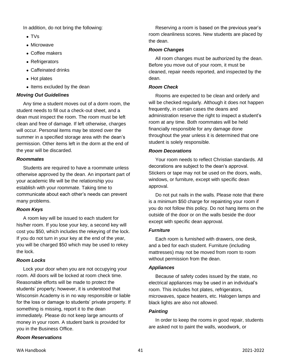In addition, do not bring the following:

- TVs
- Microwave
- Coffee makers
- Refrigerators
- Caffeinated drinks
- Hot plates
- Items excluded by the dean

## *Moving Out Guidelines*

Any time a student moves out of a dorm room, the student needs to fill out a check-out sheet, and a dean must inspect the room. The room must be left clean and free of damage. If left otherwise, charges will occur. Personal items may be stored over the summer in a specified storage area with the dean's permission. Other items left in the dorm at the end of the year will be discarded.

#### *Roommates*

Students are required to have a roommate unless otherwise approved by the dean. An important part of your academic life will be the relationship you establish with your roommate. Taking time to communicate about each other's needs can prevent many problems.

## *Room Keys*

A room key will be issued to each student for his/her room. If you lose your key, a second key will cost you \$50, which includes the rekeying of the lock. If you do not turn in your key at the end of the year, you will be charged \$50 which may be used to rekey the lock.

## *Room Locks*

Lock your door when you are not occupying your room. All doors will be locked at room check time. Reasonable efforts will be made to protect the students' property; however, it is understood that Wisconsin Academy is in no way responsible or liable for the loss or damage to students' private property. If something is missing, report it to the dean immediately. Please do not keep large amounts of money in your room. A student bank is provided for you in the Business Office.

## *Room Reservations*

Reserving a room is based on the previous year's room cleanliness scores. New students are placed by the dean.

## *Room Changes*

All room changes must be authorized by the dean. Before you move out of your room, it must be cleaned, repair needs reported, and inspected by the dean.

## *Room Check*

Rooms are expected to be clean and orderly and will be checked regularly. Although it does not happen frequently, in certain cases the deans and administration reserve the right to inspect a student's room at any time. Both roommates will be held financially responsible for any damage done throughout the year unless it is determined that one student is solely responsible.

## *Room Decorations*

Your room needs to reflect Christian standards. All decorations are subject to the dean's approval. Stickers or tape may not be used on the doors, walls, windows, or furniture, except with specific dean approval.

Do not put nails in the walls. Please note that there is a minimum \$50 charge for repainting your room if you do not follow this policy. Do not hang items on the outside of the door or on the walls beside the door except with specific dean approval.

## *Furniture*

Each room is furnished with drawers, one desk, and a bed for each student. Furniture (including mattresses) may not be moved from room to room without permission from the dean.

## *Appliances*

Because of safety codes issued by the state, no electrical appliances may be used in an individual's room. This includes hot plates, refrigerators, microwaves, space heaters, etc. Halogen lamps and black lights are also not allowed.

## *Painting*

In order to keep the rooms in good repair, students are asked not to paint the walls, woodwork, or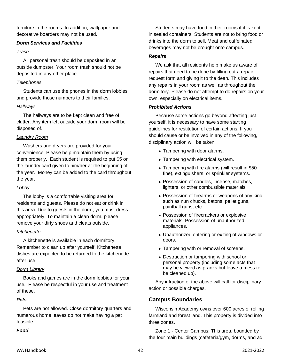furniture in the rooms. In addition, wallpaper and decorative boarders may not be used.

#### *Dorm Services and Facilities*

#### *Trash*

All personal trash should be deposited in an outside dumpster. Your room trash should not be deposited in any other place.

#### *Telephones*

Students can use the phones in the dorm lobbies and provide those numbers to their families.

#### *Hallways*

The hallways are to be kept clean and free of clutter. Any item left outside your dorm room will be disposed of.

## *Laundry Room*

Washers and dryers are provided for your convenience. Please help maintain them by using them properly. Each student is required to put \$5 on the laundry card given to him/her at the beginning of the year. Money can be added to the card throughout the year.

## *Lobby*

The lobby is a comfortable visiting area for residents and guests. Please do not eat or drink in this area. Due to guests in the dorm, you must dress appropriately. To maintain a clean dorm, please remove your dirty shoes and cleats outside.

## *Kitchenette*

A kitchenette is available in each dormitory. Remember to clean up after yourself. Kitchenette dishes are expected to be returned to the kitchenette after use.

## *Dorm Library*

Books and games are in the dorm lobbies for your use. Please be respectful in your use and treatment of these.

#### *Pets*

Pets are not allowed. Close dormitory quarters and numerous home leaves do not make having a pet feasible.

#### *Food*

Students may have food in their rooms if it is kept in sealed containers. Students are not to bring food or drinks into the dorm to sell. Meat and caffeinated beverages may not be brought onto campus.

#### *Repairs*

We ask that all residents help make us aware of repairs that need to be done by filling out a repair request form and giving it to the dean. This includes any repairs in your room as well as throughout the dormitory. Please do not attempt to do repairs on your own, especially on electrical items.

#### *Prohibited Actions*

Because some actions go beyond affecting just yourself, it is necessary to have some starting guidelines for restitution of certain actions. If you should cause or be involved in any of the following, disciplinary action will be taken:

- Tampering with door alarms.
- Tampering with electrical system.
- Tampering with fire alarms (will result in \$50 fine), extinguishers, or sprinkler systems.
- Possession of candles, incense, matches, lighters, or other combustible materials.
- Possession of firearms or weapons of any kind, such as nun chucks, batons, pellet guns, paintball guns, etc.
- Possession of firecrackers or explosive materials. Possession of unauthorized appliances.
- Unauthorized entering or exiting of windows or doors.
- Tampering with or removal of screens.
- Destruction or tampering with school or personal property (including some acts that may be viewed as pranks but leave a mess to be cleaned up).

Any infraction of the above will call for disciplinary action or possible charges.

## **Campus Boundaries**

Wisconsin Academy owns over 600 acres of rolling farmland and forest land. This property is divided into three zones.

Zone 1 - Center Campus: This area, bounded by the four main buildings (cafeteria/gym, dorms, and ad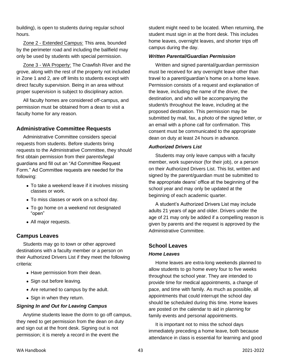building), is open to students during regular school hours.

Zone 2 - Extended Campus: This area, bounded by the perimeter road and including the ballfield may only be used by students with special permission.

Zone 3 - WA Property: The Crawfish River and the grove, along with the rest of the property not included in Zone 1 and 2, are off limits to students except with direct faculty supervision. Being in an area without proper supervision is subject to disciplinary action.

All faculty homes are considered off-campus, and permission must be obtained from a dean to visit a faculty home for any reason.

## **Administrative Committee Requests**

Administrative Committee considers special requests from students. Before students bring requests to the Administrative Committee, they should first obtain permission from their parents/legal guardians and fill out an "Ad Committee Request Form." Ad Committee requests are needed for the following:

- To take a weekend leave if it involves missing classes or work.
- To miss classes or work on a school day.
- To go home on a weekend not designated "open"
- All major requests.

#### **Campus Leaves**

Students may go to town or other approved destinations with a faculty member or a person on their Authorized Drivers List if they meet the following criteria:

- Have permission from their dean.
- Sign out before leaving.
- Are returned to campus by the adult.
- Sign in when they return.

#### *Signing In and Out for Leaving Campus*

Anytime students leave the dorm to go off campus, they need to get permission from the dean on duty and sign out at the front desk. Signing out is not permission; it is merely a record in the event the

student might need to be located. When returning, the student must sign in at the front desk. This includes home leaves, overnight leaves, and shorter trips off campus during the day.

#### *Written Parental/Guardian Permission*

Written and signed parental/guardian permission must be received for any overnight leave other than travel to a parent/guardian's home on a home leave. Permission consists of a request and explanation of the leave, including the name of the driver, the destination, and who will be accompanying the student/s throughout the leave, including at the proposed destination. This permission may be submitted by mail, fax, a photo of the signed letter, or an email with a phone call for confirmation. This consent must be communicated to the appropriate dean on duty at least 24 hours in advance.

#### *Authorized Drivers List*

Students may only leave campus with a faculty member, work supervisor (for their job), or a person on their Authorized Drivers List. This list, written and signed by the parent/guardian must be submitted to the appropriate deans' office at the beginning of the school year and may only be updated at the beginning of each academic quarter.

A student's Authorized Drivers List may include adults 21 years of age and older. Drivers under the age of 21 may only be added if a compelling reason is given by parents and the request is approved by the Administrative Committee.

#### **School Leaves**

#### *Home Leaves*

Home leaves are extra-long weekends planned to allow students to go home every four to five weeks throughout the school year. They are intended to provide time for medical appointments, a change of pace, and time with family. As much as possible, all appointments that could interrupt the school day should be scheduled during this time. Home leaves are posted on the calendar to aid in planning for family events and personal appointments.

It is important not to miss the school days immediately preceding a home leave, both because attendance in class is essential for learning and good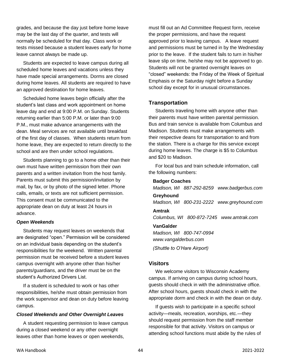grades, and because the day just before home leave may be the last day of the quarter, and tests will normally be scheduled for that day. Class work or tests missed because a student leaves early for home leave cannot always be made up.

Students are expected to leave campus during all scheduled home leaves and vacations unless they have made special arrangements. Dorms are closed during home leaves. All students are required to have an approved destination for home leaves.

Scheduled home leaves begin officially after the student's last class and work appointment on home leave day and end at 9:00 P.M. on Sunday. Students returning earlier than 5:00 P.M. or later than 9:00 P.M., must make advance arrangements with the dean. Meal services are not available until breakfast of the first day of classes. When students return from home leave, they are expected to return directly to the school and are then under school regulations.

Students planning to go to a home other than their own must have written permission from their own parents and a written invitation from the host family. Parents must submit this permission/invitation by mail, by fax, or by photo of the signed letter. Phone calls, emails, or texts are not sufficient permission. This consent must be communicated to the appropriate dean on duty at least 24 hours in advance.

#### *Open Weekends*

Students may request leaves on weekends that are designated "open." Permission will be considered on an individual basis depending on the student's responsibilities for the weekend. Written parental permission must be received before a student leaves campus overnight with anyone other than his/her parents/guardians, and the driver must be on the student's Authorized Drivers List.

If a student is scheduled to work or has other responsibilities, he/she must obtain permission from the work supervisor and dean on duty before leaving campus.

#### *Closed Weekends and Other Overnight Leaves*

A student requesting permission to leave campus during a closed weekend or any other overnight leaves other than home leaves or open weekends,

must fill out an Ad Committee Request form, receive the proper permissions, and have the request approved prior to leaving campus. A leave request and permissions must be turned in by the Wednesday prior to the leave. If the student fails to turn in his/her leave slip on time, he/she may not be approved to go. Students will not be granted overnight leaves on "closed" weekends: the Friday of the Week of Spiritual Emphasis or the Saturday night before a Sunday school day except for in unusual circumstances.

#### **Transportation**

Students traveling home with anyone other than their parents must have written parental permission. Bus and train service is available from Columbus and Madison. Students must make arrangements with their respective deans for transportation to and from the station. There is a charge for this service except during home leaves. The charge is \$5 to Columbus and \$20 to Madison.

For local bus and train schedule information, call the following numbers:

#### **Badger Coaches**

*Madison, WI 887-292-8259 www.badgerbus.com* **Greyhound** *Madison, WI 800-231-2222 www.greyhound.com*

#### **Amtrak**

*Columbus, WI 800-872-7245 www.amtrak.com*

#### **VanGalder**

*Madison, WI 800-747-0994 www.vangalderbus.com (Shuttle to O'Hare Airport)*

#### **Visitors**

We welcome visitors to Wisconsin Academy campus. If arriving on campus during school hours, guests should check in with the administrative office. After school hours, guests should check in with the appropriate dorm and check in with the dean on duty.

If guests wish to participate in a specific school activity—meals, recreation, worships, etc.—they should request permission from the staff member responsible for that activity. Visitors on campus or attending school functions must abide by the rules of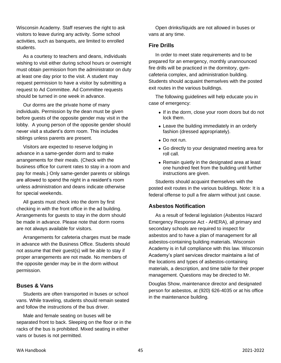Wisconsin Academy. Staff reserves the right to ask visitors to leave during any activity. Some school activities, such as banquets, are limited to enrolled students.

As a courtesy to teachers and deans, individuals wishing to visit either during school hours or overnight must obtain permission from the administrator on duty at least one day prior to the visit. A student may request permission to have a visitor by submitting a request to Ad Committee. Ad Committee requests should be turned in one week in advance.

Our dorms are the private home of many individuals. Permission by the dean must be given before guests of the opposite gender may visit in the lobby. A young person of the opposite gender should never visit a student's dorm room. This includes siblings unless parents are present.

Visitors are expected to reserve lodging in advance in a same-gender dorm and to make arrangements for their meals. (Check with the business office for current rates to stay in a room and pay for meals.) Only same-gender parents or siblings are allowed to spend the night in a resident's room unless administration and deans indicate otherwise for special weekends.

All guests must check into the dorm by first checking in with the front office in the ad building. Arrangements for guests to stay in the dorm should be made in advance. Please note that dorm rooms are not always available for visitors.

Arrangements for cafeteria charges must be made in advance with the Business Office. Students should not assume that their guest(s) will be able to stay if proper arrangements are not made. No members of the opposite gender may be in the dorm without permission.

## **Buses & Vans**

Students are often transported in buses or school vans. While traveling, students should remain seated and follow the instructions of the bus driver.

Male and female seating on buses will be separated front to back. Sleeping on the floor or in the racks of the bus is prohibited. Mixed seating in either vans or buses is not permitted.

Open drinks/liquids are not allowed in buses or vans at any time.

#### **Fire Drills**

In order to meet state requirements and to be prepared for an emergency, monthly unannounced fire drills will be practiced in the dormitory, gymcafeteria complex, and administration building. Students should acquaint themselves with the posted exit routes in the various buildings.

The following guidelines will help educate you in case of emergency:

- If in the dorm, close your room doors but do not lock them.
- Leave the building immediately in an orderly fashion (dressed appropriately).
- Do not run.
- Go directly to your designated meeting area for roll call.
- Remain quietly in the designated area at least one hundred feet from the building until further instructions are given.

Students should acquaint themselves with the posted exit routes in the various buildings. Note: It is a federal offense to pull a fire alarm without just cause.

## **Asbestos Notification**

As a result of federal legislation (Asbestos Hazard Emergency Response Act - AHERA), all primary and secondary schools are required to inspect for asbestos and to have a plan of management for all asbestos-containing building materials. Wisconsin Academy is in full compliance with this law. Wisconsin Academy's plant services director maintains a list of the locations and types of asbestos-containing materials, a description, and time table for their proper management. Questions may be directed to Mr.

Douglas Show, maintenance director and designated person for asbestos, at (920) 626-4035 or at his office in the maintenance building.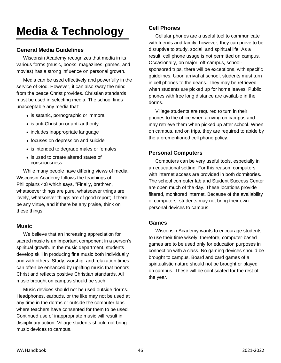## **Media & Technology**

## **General Media Guidelines**

Wisconsin Academy recognizes that media in its various forms (music, books, magazines, games, and movies) has a strong influence on personal growth.

Media can be used effectively and powerfully in the service of God. However, it can also sway the mind from the peace Christ provides. Christian standards must be used in selecting media. The school finds unacceptable any media that:

- is satanic, pornographic or immoral
- is anti-Christian or anti-authority
- includes inappropriate language
- focuses on depression and suicide
- is intended to degrade males or females
- is used to create altered states of consciousness.

While many people have differing views of media, Wisconsin Academy follows the teachings of Philippians 4:8 which says, "Finally, brethren, whatsoever things are pure, whatsoever things are lovely, whatsoever things are of good report; if there be any virtue, and if there be any praise, think on these things.

#### **Music**

We believe that an increasing appreciation for sacred music is an important component in a person's spiritual growth. In the music department, students develop skill in producing fine music both individually and with others. Study, worship, and relaxation times can often be enhanced by uplifting music that honors Christ and reflects positive Christian standards. All music brought on campus should be such.

Music devices should not be used outside dorms. Headphones, earbuds, or the like may not be used at any time in the dorms or outside the computer labs where teachers have consented for them to be used. Continued use of inappropriate music will result in disciplinary action. Village students should not bring music devices to campus.

## **Cell Phones**

Cellular phones are a useful tool to communicate with friends and family, however, they can prove to be disruptive to study, social, and spiritual life. As a result, cell phone usage is not permitted on campus. Occasionally, on major, off-campus, schoolsponsored trips, there will be exceptions, with specific guidelines. Upon arrival at school, students must turn in cell phones to the deans. They may be retrieved when students are picked up for home leaves. Public phones with free long distance are available in the dorms.

Village students are required to turn in their phones to the office when arriving on campus and may retrieve them when picked up after school. When on campus, and on trips, they are required to abide by the aforementioned cell phone policy.

## **Personal Computers**

Computers can be very useful tools, especially in an educational setting. For this reason, computers with internet access are provided in both dormitories. The school computer lab and Student Success Center are open much of the day. These locations provide filtered, monitored internet. Because of the availability of computers, students may not bring their own personal devices to campus.

#### **Games**

Wisconsin Academy wants to encourage students to use their time wisely; therefore, computer-based games are to be used only for education purposes in connection with a class. No gaming devices should be brought to campus. Board and card games of a spiritualistic nature should not be brought or played on campus. These will be confiscated for the rest of the year.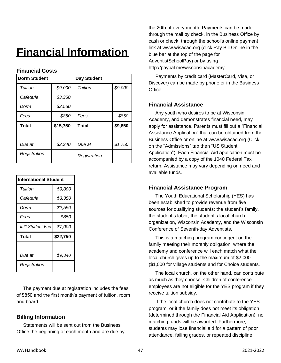## **Financial Information**

| <b>Dorm Student</b> |          | <b>Day Student</b> |         |
|---------------------|----------|--------------------|---------|
| Tuition             | \$9,000  | Tuition            | \$9,000 |
| Cafeteria           | \$3,350  |                    |         |
| Dorm                | \$2,550  |                    |         |
| Fees                | \$850    | Fees               | \$850   |
|                     |          |                    |         |
| <b>Total</b>        | \$15,750 | <b>Total</b>       | \$9,850 |
|                     |          |                    |         |
| Due at              | \$2,340  | Due at             | \$1,750 |

## **Financial Costs**

| <b>International Student</b> |          |
|------------------------------|----------|
| Tuition                      | \$9,000  |
| Cafeteria                    | \$3,350  |
| Dorm                         | \$2,550  |
| Fees                         | \$850    |
|                              |          |
| Int'l Student Fee            | \$7,000  |
| Total                        | \$22,750 |
|                              |          |
| Due at                       | \$9,340  |

The payment due at registration includes the fees of \$850 and the first month's payment of tuition, room and board.

## **Billing Information**

Statements will be sent out from the Business Office the beginning of each month and are due by the 20th of every month. Payments can be made through the mail by check, in the Business Office by cash or check, through the school's online payment link at www.wisacad.org (click Pay Bill Online in the blue bar at the top of the page for AdventistSchoolPay) or by using http://paypal.me/wisconsinacademy.

Payments by credit card (MasterCard, Visa, or Discover) can be made by phone or in the Business **Office** 

## **Financial Assistance**

Any youth who desires to be at Wisconsin Academy, and demonstrates financial need, may apply for assistance. Parents must fill out a "Financial Assistance Application" that can be obtained from the Business Office or online at www.wisacad.org (Click on the "Admissions" tab then "US Student Application"). Each Financial Aid application must be accompanied by a copy of the 1040 Federal Tax return. Assistance may vary depending on need and available funds.

## **Financial Assistance Program**

The Youth Educational Scholarship (YES) has been established to provide revenue from five sources for qualifying students: the student's family, the student's labor, the student's local church organization, Wisconsin Academy, and the Wisconsin Conference of Seventh-day Adventists.

This is a matching program contingent on the family meeting their monthly obligation, where the academy and conference will each match what the local church gives up to the maximum of \$2,000 (\$1,000 for village students and for Choice students.

The local church, on the other hand, can contribute as much as they choose. Children of conference employees are not eligible for the YES program if they receive tuition subsidy.

If the local church does not contribute to the YES program, or if the family does not meet its obligation (determined through the Financial Aid Application), no matching funds will be awarded. Furthermore, students may lose financial aid for a pattern of poor attendance, failing grades, or repeated discipline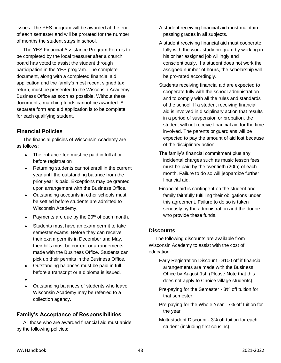issues. The YES program will be awarded at the end of each semester and will be prorated for the number of months the student stays in school.

The YES Financial Assistance Program Form is to be completed by the local treasurer after a church board has voted to assist the student through participation in the YES program. The complete document, along with a completed financial aid application and the family's most recent signed tax return, must be presented to the Wisconsin Academy Business Office as soon as possible. Without these documents, matching funds cannot be awarded. A separate form and aid application is to be complete for each qualifying student.

## **Financial Policies**

The financial policies of Wisconsin Academy are as follows:

- The entrance fee must be paid in full at or before registration
- Returning students cannot enroll in the current year until the outstanding balance from the prior year is paid. Exceptions may be granted upon arrangement with the Business Office.
- Outstanding accounts in other schools must be settled before students are admitted to Wisconsin Academy.
- Payments are due by the 20<sup>th</sup> of each month.
- Students must have an exam permit to take semester exams. Before they can receive their exam permits in December and May, their bills must be current or arrangements made with the Business Office. Students can pick up their permits in the Business Office.
- Outstanding balances must be paid in full before a transcript or a diploma is issued.
- •
- Outstanding balances of students who leave Wisconsin Academy may be referred to a collection agency.

## **Family's Acceptance of Responsibilities**

All those who are awarded financial aid must abide by the following policies:

- A student receiving financial aid must maintain passing grades in all subjects.
- A student receiving financial aid must cooperate fully with the work-study program by working in his or her assigned job willingly and conscientiously. If a student does not work the assigned number of hours, the scholarship will be pro-rated accordingly.
- Students receiving financial aid are expected to cooperate fully with the school administration and to comply with all the rules and standards of the school. If a student receiving financial aid is involved in disciplinary action that results in a period of suspension or probation, the student will not receive financial aid for the time involved. The parents or guardians will be expected to pay the amount of aid lost because of the disciplinary action.
- The family's financial commitment plus any incidental charges such as music lesson fees must be paid by the twentieth (20th) of each month. Failure to do so will jeopardize further financial aid.
- Financial aid is contingent on the student and family faithfully fulfilling their obligations under this agreement. Failure to do so is taken seriously by the administration and the donors who provide these funds.

## **Discounts**

The following discounts are available from Wisconsin Academy to assist with the cost of education:

- Early Registration Discount \$100 off if financial arrangements are made with the Business Office by August 1st. (Please Note that this does not apply to Choice village students)
- Pre-paying for the Semester 3% off tuition for that semester
- Pre-paying for the Whole Year 7% off tuition for the year
- Multi-student Discount 3% off tuition for each student (including first cousins)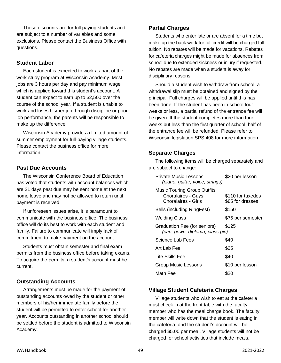These discounts are for full paying students and are subject to a number of variables and some exclusions. Please contact the Business Office with questions.

#### **Student Labor**

Each student is expected to work as part of the work-study program at Wisconsin Academy. Most jobs are 3 hours per day and pay minimum wage which is applied toward this student's account. A student can expect to earn up to \$2,500 over the course of the school year. If a student is unable to work and loses his/her job through discipline or poor job performance, the parents will be responsible to make up the difference.

Wisconsin Academy provides a limited amount of summer employment for full-paying village students. Please contact the business office for more information.

#### **Past Due Accounts**

The Wisconsin Conference Board of Education has voted that students with account balances which are 21 days past due may be sent home at the next home leave and may not be allowed to return until payment is received.

If unforeseen issues arise, it is paramount to communicate with the business office. The business office will do its best to work with each student and family. Failure to communicate will imply lack of commitment to make payment on the account.

Students must obtain semester and final exam permits from the business office before taking exams. To acquire the permits, a student's account must be current.

## **Outstanding Accounts**

Arrangements must be made for the payment of outstanding accounts owed by the student or other members of his/her immediate family before the student will be permitted to enter school for another year. Accounts outstanding in another school should be settled before the student is admitted to Wisconsin Academy.

#### **Partial Charges**

Students who enter late or are absent for a time but make up the back work for full credit will be charged full tuition. No rebates will be made for vacations. Rebates for cafeteria charges might be made for absences from school due to extended sickness or injury if requested. No rebates are made when a student is away for disciplinary reasons.

Should a student wish to withdraw from school, a withdrawal slip must be obtained and signed by the principal. Full charges will be applied until this has been done. If the student has been in school four weeks or less, a partial refund of the entrance fee will be given. If the student completes more than four weeks but less than the first quarter of school, half of the entrance fee will be refunded. Please refer to Wisconsin legislation SPS 408 for more information

## **Separate Charges**

The following items will be charged separately and are subject to change:

| Private Music Lessons<br>(piano, guitar, voice, strings)                               | \$20 per lesson                       |
|----------------------------------------------------------------------------------------|---------------------------------------|
| <b>Music Touring Group Outfits</b><br><b>Choralaires - Guys</b><br>Choralaires - Girls | \$110 for tuxedos<br>\$85 for dresses |
| Bells (including RingFest)                                                             | \$150                                 |
| <b>Welding Class</b>                                                                   | \$75 per semester                     |
| Graduation Fee (for seniors)<br>(cap, gown, diploma, class pic)                        | \$125                                 |
| Science Lab Fees                                                                       | \$40                                  |
| Art Lab Fee                                                                            | \$25                                  |
| Life Skills Fee                                                                        | \$40                                  |
| Group Music Lessons                                                                    | \$10 per lesson                       |
| Math Fee                                                                               |                                       |

## **Village Student Cafeteria Charges**

Village students who wish to eat at the cafeteria must check in at the front table with the faculty member who has the meal charge book. The faculty member will write down that the student is eating in the cafeteria, and the student's account will be charged \$5.00 per meal. Village students will not be charged for school activities that include meals.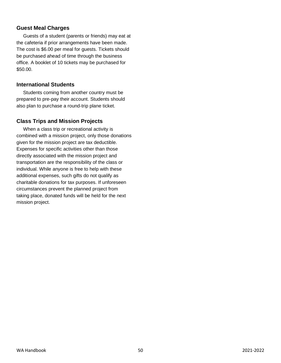## **Guest Meal Charges**

Guests of a student (parents or friends) may eat at the cafeteria if prior arrangements have been made. The cost is \$6.00 per meal for guests. Tickets should be purchased ahead of time through the business office. A booklet of 10 tickets may be purchased for \$50.00.

#### **International Students**

Students coming from another country must be prepared to pre-pay their account. Students should also plan to purchase a round-trip plane ticket.

## **Class Trips and Mission Projects**

When a class trip or recreational activity is combined with a mission project, only those donations given for the mission project are tax deductible. Expenses for specific activities other than those directly associated with the mission project and transportation are the responsibility of the class or individual. While anyone is free to help with these additional expenses, such gifts do not qualify as charitable donations for tax purposes. If unforeseen circumstances prevent the planned project from taking place, donated funds will be held for the next mission project.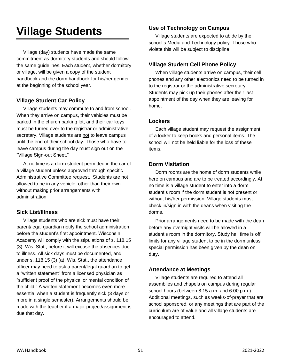## **Village Students**

Village (day) students have made the same commitment as dormitory students and should follow the same guidelines. Each student, whether dormitory or village, will be given a copy of the student handbook and the dorm handbook for his/her gender at the beginning of the school year.

## **Village Student Car Policy**

Village students may commute to and from school. When they arrive on campus, their vehicles must be parked in the church parking lot, and their car keys must be turned over to the registrar or administrative secretary. Village students are not to leave campus until the end of their school day. Those who have to leave campus during the day must sign out on the "Village Sign-out Sheet."

At no time is a dorm student permitted in the car of a village student unless approved through specific Administrative Committee request. Students are not allowed to be in any vehicle, other than their own, without making prior arrangements with administration.

## **Sick List/Illness**

Village students who are sick must have their parent/legal guardian notify the school administration before the student's first appointment. Wisconsin Academy will comply with the stipulations of s. 118.15 (3), Wis. Stat., before it will excuse the absences due to illness. All sick days must be documented, and under s. 118.15 (3) (a), Wis. Stat., the attendance officer may need to ask a parent/legal guardian to get a "written statement" from a licensed physician as "sufficient proof of the physical or mental condition of the child." A written statement becomes even more essential when a student is frequently sick (3 days or more in a single semester). Arrangements should be made with the teacher if a major project/assignment is due that day.

## **Use of Technology on Campus**

Village students are expected to abide by the school's Media and Technology policy. Those who violate this will be subject to discipline

## **Village Student Cell Phone Policy**

When village students arrive on campus, their cell phones and any other electronics need to be turned in to the registrar or the administrative secretary. Students may pick up their phones after their last appointment of the day when they are leaving for home.

## **Lockers**

Each village student may request the assignment of a locker to keep books and personal items. The school will not be held liable for the loss of these items.

## **Dorm Visitation**

Dorm rooms are the home of dorm students while here on campus and are to be treated accordingly. At no time is a village student to enter into a dorm student's room if the dorm student is not present or without his/her permission. Village students must check in/sign in with the deans when visiting the dorms.

Prior arrangements need to be made with the dean before any overnight visits will be allowed in a student's room in the dormitory. Study hall time is off limits for any village student to be in the dorm unless special permission has been given by the dean on duty.

## **Attendance at Meetings**

Village students are required to attend all assemblies and chapels on campus during regular school hours (between 8:15 a.m. and 6:00 p.m.). Additional meetings, such as weeks-of-prayer that are school sponsored, or any meetings that are part of the curriculum are of value and all village students are encouraged to attend.